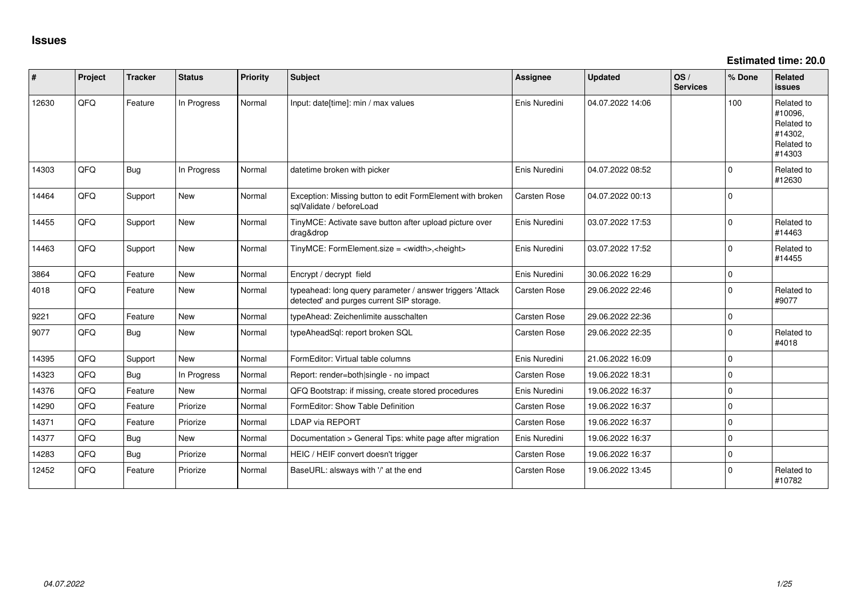**Estimated time: 20.0**

| #     | Project    | <b>Tracker</b> | <b>Status</b> | <b>Priority</b> | <b>Subject</b>                                                                                         | <b>Assignee</b>     | <b>Updated</b>   | OS/<br><b>Services</b> | % Done      | <b>Related</b><br><b>issues</b>                                        |
|-------|------------|----------------|---------------|-----------------|--------------------------------------------------------------------------------------------------------|---------------------|------------------|------------------------|-------------|------------------------------------------------------------------------|
| 12630 | QFQ        | Feature        | In Progress   | Normal          | Input: date[time]: min / max values                                                                    | Enis Nuredini       | 04.07.2022 14:06 |                        | 100         | Related to<br>#10096,<br>Related to<br>#14302.<br>Related to<br>#14303 |
| 14303 | QFQ        | Bug            | In Progress   | Normal          | datetime broken with picker                                                                            | Enis Nuredini       | 04.07.2022 08:52 |                        | $\Omega$    | Related to<br>#12630                                                   |
| 14464 | QFQ        | Support        | New           | Normal          | Exception: Missing button to edit FormElement with broken<br>sqlValidate / beforeLoad                  | Carsten Rose        | 04.07.2022 00:13 |                        | $\Omega$    |                                                                        |
| 14455 | QFQ        | Support        | <b>New</b>    | Normal          | TinyMCE: Activate save button after upload picture over<br>drag&drop                                   | Enis Nuredini       | 03.07.2022 17:53 |                        | $\Omega$    | Related to<br>#14463                                                   |
| 14463 | QFQ        | Support        | <b>New</b>    | Normal          | TinyMCE: FormElement.size = <width>,<height></height></width>                                          | Enis Nuredini       | 03.07.2022 17:52 |                        | 0           | Related to<br>#14455                                                   |
| 3864  | <b>OFO</b> | Feature        | <b>New</b>    | Normal          | Encrypt / decrypt field                                                                                | Enis Nuredini       | 30.06.2022 16:29 |                        | $\Omega$    |                                                                        |
| 4018  | QFQ        | Feature        | New           | Normal          | typeahead: long query parameter / answer triggers 'Attack<br>detected' and purges current SIP storage. | <b>Carsten Rose</b> | 29.06.2022 22:46 |                        | 0           | Related to<br>#9077                                                    |
| 9221  | QFQ        | Feature        | New           | Normal          | typeAhead: Zeichenlimite ausschalten                                                                   | Carsten Rose        | 29.06.2022 22:36 |                        | $\Omega$    |                                                                        |
| 9077  | QFQ        | <b>Bug</b>     | <b>New</b>    | Normal          | typeAheadSql: report broken SQL                                                                        | <b>Carsten Rose</b> | 29.06.2022 22:35 |                        | $\Omega$    | Related to<br>#4018                                                    |
| 14395 | <b>OFO</b> | Support        | <b>New</b>    | Normal          | FormEditor: Virtual table columns                                                                      | Enis Nuredini       | 21.06.2022 16:09 |                        | $\Omega$    |                                                                        |
| 14323 | QFQ        | Bug            | In Progress   | Normal          | Report: render=both single - no impact                                                                 | <b>Carsten Rose</b> | 19.06.2022 18:31 |                        | 0           |                                                                        |
| 14376 | QFQ        | Feature        | <b>New</b>    | Normal          | QFQ Bootstrap: if missing, create stored procedures                                                    | Enis Nuredini       | 19.06.2022 16:37 |                        | 0           |                                                                        |
| 14290 | QFQ        | Feature        | Priorize      | Normal          | FormEditor: Show Table Definition                                                                      | Carsten Rose        | 19.06.2022 16:37 |                        | $\Omega$    |                                                                        |
| 14371 | QFQ        | Feature        | Priorize      | Normal          | <b>LDAP via REPORT</b>                                                                                 | Carsten Rose        | 19.06.2022 16:37 |                        | $\Omega$    |                                                                        |
| 14377 | <b>OFO</b> | <b>Bug</b>     | <b>New</b>    | Normal          | Documentation > General Tips: white page after migration                                               | Enis Nuredini       | 19.06.2022 16:37 |                        | $\Omega$    |                                                                        |
| 14283 | QFQ        | Bug            | Priorize      | Normal          | HEIC / HEIF convert doesn't trigger                                                                    | Carsten Rose        | 19.06.2022 16:37 |                        | $\mathbf 0$ |                                                                        |
| 12452 | QFQ        | Feature        | Priorize      | Normal          | BaseURL: alsways with '/' at the end                                                                   | <b>Carsten Rose</b> | 19.06.2022 13:45 |                        | $\Omega$    | Related to<br>#10782                                                   |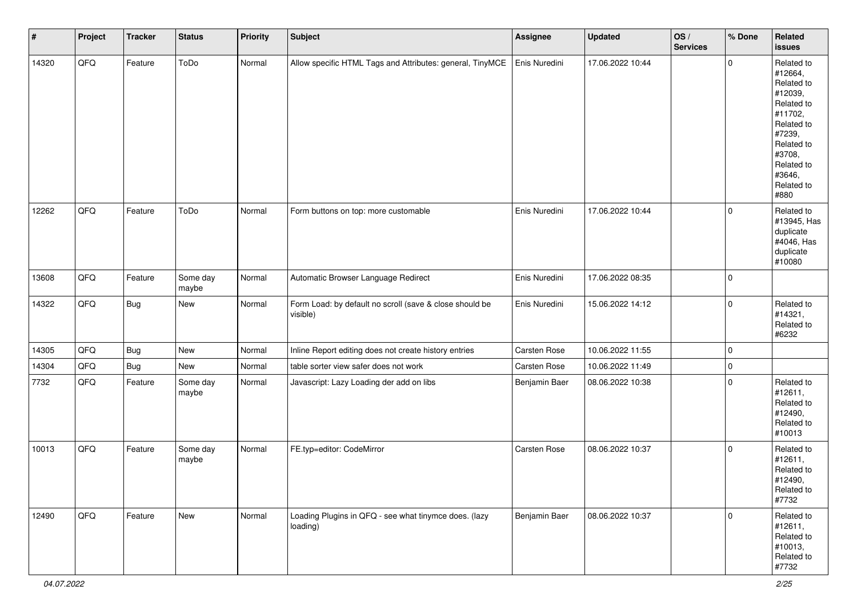| $\sharp$ | Project | <b>Tracker</b> | <b>Status</b>     | <b>Priority</b> | Subject                                                             | Assignee      | <b>Updated</b>   | OS/<br><b>Services</b> | % Done              | Related<br>issues                                                                                                                                                     |
|----------|---------|----------------|-------------------|-----------------|---------------------------------------------------------------------|---------------|------------------|------------------------|---------------------|-----------------------------------------------------------------------------------------------------------------------------------------------------------------------|
| 14320    | QFQ     | Feature        | ToDo              | Normal          | Allow specific HTML Tags and Attributes: general, TinyMCE           | Enis Nuredini | 17.06.2022 10:44 |                        | $\mathbf 0$         | Related to<br>#12664,<br>Related to<br>#12039,<br>Related to<br>#11702,<br>Related to<br>#7239,<br>Related to<br>#3708,<br>Related to<br>#3646,<br>Related to<br>#880 |
| 12262    | QFQ     | Feature        | ToDo              | Normal          | Form buttons on top: more customable                                | Enis Nuredini | 17.06.2022 10:44 |                        | $\mathbf 0$         | Related to<br>#13945, Has<br>duplicate<br>#4046, Has<br>duplicate<br>#10080                                                                                           |
| 13608    | QFQ     | Feature        | Some day<br>maybe | Normal          | Automatic Browser Language Redirect                                 | Enis Nuredini | 17.06.2022 08:35 |                        | $\mathbf 0$         |                                                                                                                                                                       |
| 14322    | QFQ     | Bug            | New               | Normal          | Form Load: by default no scroll (save & close should be<br>visible) | Enis Nuredini | 15.06.2022 14:12 |                        | $\mathbf 0$         | Related to<br>#14321,<br>Related to<br>#6232                                                                                                                          |
| 14305    | QFQ     | <b>Bug</b>     | New               | Normal          | Inline Report editing does not create history entries               | Carsten Rose  | 10.06.2022 11:55 |                        | $\mathsf{O}\xspace$ |                                                                                                                                                                       |
| 14304    | QFQ     | Bug            | New               | Normal          | table sorter view safer does not work                               | Carsten Rose  | 10.06.2022 11:49 |                        | $\mathbf 0$         |                                                                                                                                                                       |
| 7732     | QFQ     | Feature        | Some day<br>maybe | Normal          | Javascript: Lazy Loading der add on libs                            | Benjamin Baer | 08.06.2022 10:38 |                        | $\mathbf 0$         | Related to<br>#12611,<br>Related to<br>#12490,<br>Related to<br>#10013                                                                                                |
| 10013    | QFQ     | Feature        | Some day<br>maybe | Normal          | FE.typ=editor: CodeMirror                                           | Carsten Rose  | 08.06.2022 10:37 |                        | $\mathbf 0$         | Related to<br>#12611,<br>Related to<br>#12490,<br>Related to<br>#7732                                                                                                 |
| 12490    | QFQ     | Feature        | New               | Normal          | Loading Plugins in QFQ - see what tinymce does. (lazy<br>loading)   | Benjamin Baer | 08.06.2022 10:37 |                        | $\mathbf{0}$        | Related to<br>#12611,<br>Related to<br>#10013,<br>Related to<br>#7732                                                                                                 |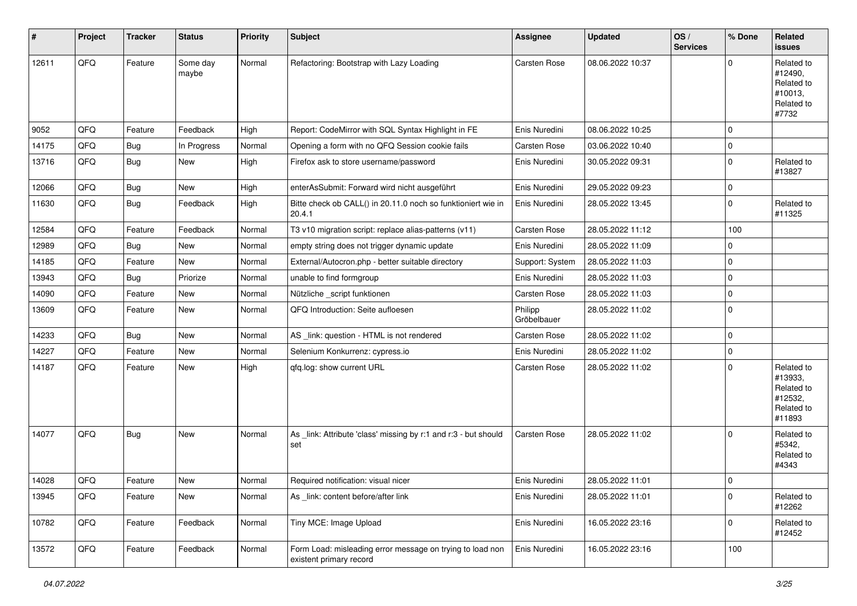| $\vert$ # | Project | <b>Tracker</b> | <b>Status</b>     | <b>Priority</b> | <b>Subject</b>                                                                       | <b>Assignee</b>        | <b>Updated</b>   | OS/<br><b>Services</b> | % Done      | Related<br><b>issues</b>                                               |
|-----------|---------|----------------|-------------------|-----------------|--------------------------------------------------------------------------------------|------------------------|------------------|------------------------|-------------|------------------------------------------------------------------------|
| 12611     | QFQ     | Feature        | Some day<br>maybe | Normal          | Refactoring: Bootstrap with Lazy Loading                                             | Carsten Rose           | 08.06.2022 10:37 |                        | $\Omega$    | Related to<br>#12490,<br>Related to<br>#10013,<br>Related to<br>#7732  |
| 9052      | QFQ     | Feature        | Feedback          | High            | Report: CodeMirror with SQL Syntax Highlight in FE                                   | Enis Nuredini          | 08.06.2022 10:25 |                        | $\mathbf 0$ |                                                                        |
| 14175     | QFQ     | <b>Bug</b>     | In Progress       | Normal          | Opening a form with no QFQ Session cookie fails                                      | Carsten Rose           | 03.06.2022 10:40 |                        | 0           |                                                                        |
| 13716     | QFQ     | Bug            | New               | High            | Firefox ask to store username/password                                               | Enis Nuredini          | 30.05.2022 09:31 |                        | $\mathbf 0$ | Related to<br>#13827                                                   |
| 12066     | QFQ     | <b>Bug</b>     | New               | High            | enterAsSubmit: Forward wird nicht ausgeführt                                         | Enis Nuredini          | 29.05.2022 09:23 |                        | 0           |                                                                        |
| 11630     | QFQ     | <b>Bug</b>     | Feedback          | High            | Bitte check ob CALL() in 20.11.0 noch so funktioniert wie in<br>20.4.1               | Enis Nuredini          | 28.05.2022 13:45 |                        | $\mathbf 0$ | Related to<br>#11325                                                   |
| 12584     | QFQ     | Feature        | Feedback          | Normal          | T3 v10 migration script: replace alias-patterns (v11)                                | Carsten Rose           | 28.05.2022 11:12 |                        | 100         |                                                                        |
| 12989     | QFQ     | Bug            | New               | Normal          | empty string does not trigger dynamic update                                         | Enis Nuredini          | 28.05.2022 11:09 |                        | $\mathbf 0$ |                                                                        |
| 14185     | QFQ     | Feature        | New               | Normal          | External/Autocron.php - better suitable directory                                    | Support: System        | 28.05.2022 11:03 |                        | 0           |                                                                        |
| 13943     | QFQ     | Bug            | Priorize          | Normal          | unable to find formgroup                                                             | Enis Nuredini          | 28.05.2022 11:03 |                        | $\mathbf 0$ |                                                                        |
| 14090     | QFQ     | Feature        | New               | Normal          | Nützliche _script funktionen                                                         | Carsten Rose           | 28.05.2022 11:03 |                        | 0           |                                                                        |
| 13609     | QFQ     | Feature        | New               | Normal          | QFQ Introduction: Seite aufloesen                                                    | Philipp<br>Gröbelbauer | 28.05.2022 11:02 |                        | $\mathbf 0$ |                                                                        |
| 14233     | QFQ     | Bug            | New               | Normal          | AS_link: question - HTML is not rendered                                             | Carsten Rose           | 28.05.2022 11:02 |                        | 0           |                                                                        |
| 14227     | QFQ     | Feature        | <b>New</b>        | Normal          | Selenium Konkurrenz: cypress.io                                                      | Enis Nuredini          | 28.05.2022 11:02 |                        | 0           |                                                                        |
| 14187     | QFQ     | Feature        | New               | High            | qfq.log: show current URL                                                            | Carsten Rose           | 28.05.2022 11:02 |                        | $\mathbf 0$ | Related to<br>#13933,<br>Related to<br>#12532,<br>Related to<br>#11893 |
| 14077     | QFQ     | Bug            | New               | Normal          | As link: Attribute 'class' missing by r:1 and r:3 - but should<br>set                | Carsten Rose           | 28.05.2022 11:02 |                        | $\mathbf 0$ | Related to<br>#5342,<br>Related to<br>#4343                            |
| 14028     | QFQ     | Feature        | <b>New</b>        | Normal          | Required notification: visual nicer                                                  | Enis Nuredini          | 28.05.2022 11:01 |                        | $\Omega$    |                                                                        |
| 13945     | QFQ     | Feature        | New               | Normal          | As _link: content before/after link                                                  | Enis Nuredini          | 28.05.2022 11:01 |                        | $\mathbf 0$ | Related to<br>#12262                                                   |
| 10782     | QFQ     | Feature        | Feedback          | Normal          | Tiny MCE: Image Upload                                                               | Enis Nuredini          | 16.05.2022 23:16 |                        | $\mathbf 0$ | Related to<br>#12452                                                   |
| 13572     | QFQ     | Feature        | Feedback          | Normal          | Form Load: misleading error message on trying to load non<br>existent primary record | Enis Nuredini          | 16.05.2022 23:16 |                        | 100         |                                                                        |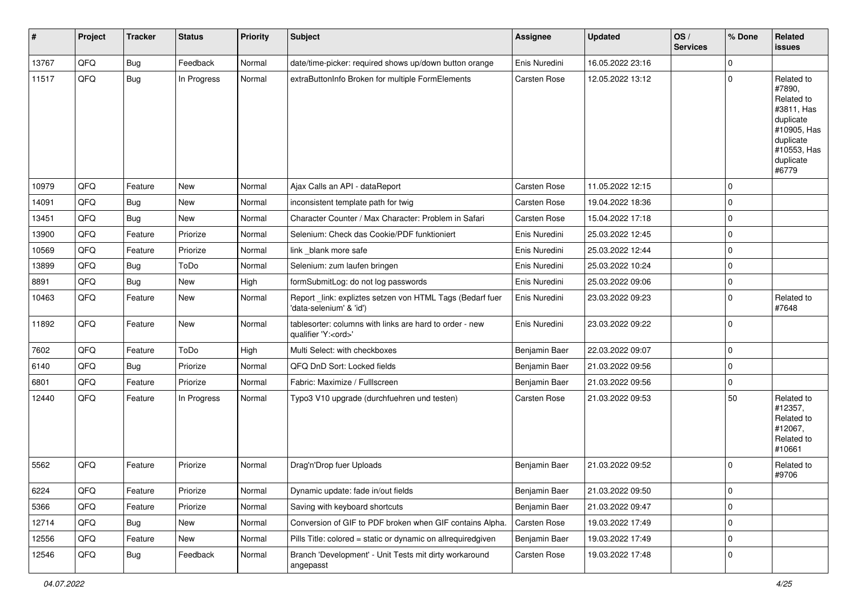| #     | Project | <b>Tracker</b> | <b>Status</b> | <b>Priority</b> | <b>Subject</b>                                                                        | <b>Assignee</b> | <b>Updated</b>   | OS/<br><b>Services</b> | % Done      | Related<br>issues                                                                                                              |
|-------|---------|----------------|---------------|-----------------|---------------------------------------------------------------------------------------|-----------------|------------------|------------------------|-------------|--------------------------------------------------------------------------------------------------------------------------------|
| 13767 | QFQ     | Bug            | Feedback      | Normal          | date/time-picker: required shows up/down button orange                                | Enis Nuredini   | 16.05.2022 23:16 |                        | $\mathbf 0$ |                                                                                                                                |
| 11517 | QFQ     | Bug            | In Progress   | Normal          | extraButtonInfo Broken for multiple FormElements                                      | Carsten Rose    | 12.05.2022 13:12 |                        | $\mathbf 0$ | Related to<br>#7890,<br>Related to<br>#3811, Has<br>duplicate<br>#10905, Has<br>duplicate<br>#10553, Has<br>duplicate<br>#6779 |
| 10979 | QFQ     | Feature        | <b>New</b>    | Normal          | Ajax Calls an API - dataReport                                                        | Carsten Rose    | 11.05.2022 12:15 |                        | $\mathbf 0$ |                                                                                                                                |
| 14091 | QFQ     | <b>Bug</b>     | New           | Normal          | inconsistent template path for twig                                                   | Carsten Rose    | 19.04.2022 18:36 |                        | $\mathbf 0$ |                                                                                                                                |
| 13451 | QFQ     | <b>Bug</b>     | New           | Normal          | Character Counter / Max Character: Problem in Safari                                  | Carsten Rose    | 15.04.2022 17:18 |                        | $\mathbf 0$ |                                                                                                                                |
| 13900 | QFQ     | Feature        | Priorize      | Normal          | Selenium: Check das Cookie/PDF funktioniert                                           | Enis Nuredini   | 25.03.2022 12:45 |                        | $\mathbf 0$ |                                                                                                                                |
| 10569 | QFQ     | Feature        | Priorize      | Normal          | link blank more safe                                                                  | Enis Nuredini   | 25.03.2022 12:44 |                        | $\mathbf 0$ |                                                                                                                                |
| 13899 | QFQ     | <b>Bug</b>     | ToDo          | Normal          | Selenium: zum laufen bringen                                                          | Enis Nuredini   | 25.03.2022 10:24 |                        | $\pmb{0}$   |                                                                                                                                |
| 8891  | QFQ     | Bug            | New           | High            | formSubmitLog: do not log passwords                                                   | Enis Nuredini   | 25.03.2022 09:06 |                        | $\mathbf 0$ |                                                                                                                                |
| 10463 | QFQ     | Feature        | New           | Normal          | Report_link: expliztes setzen von HTML Tags (Bedarf fuer<br>'data-selenium' & 'id')   | Enis Nuredini   | 23.03.2022 09:23 |                        | 0           | Related to<br>#7648                                                                                                            |
| 11892 | QFQ     | Feature        | New           | Normal          | tablesorter: columns with links are hard to order - new<br>qualifier 'Y: <ord>'</ord> | Enis Nuredini   | 23.03.2022 09:22 |                        | $\mathbf 0$ |                                                                                                                                |
| 7602  | QFQ     | Feature        | ToDo          | High            | Multi Select: with checkboxes                                                         | Benjamin Baer   | 22.03.2022 09:07 |                        | $\mathbf 0$ |                                                                                                                                |
| 6140  | QFQ     | <b>Bug</b>     | Priorize      | Normal          | QFQ DnD Sort: Locked fields                                                           | Benjamin Baer   | 21.03.2022 09:56 |                        | $\mathbf 0$ |                                                                                                                                |
| 6801  | QFQ     | Feature        | Priorize      | Normal          | Fabric: Maximize / FullIscreen                                                        | Benjamin Baer   | 21.03.2022 09:56 |                        | $\pmb{0}$   |                                                                                                                                |
| 12440 | QFQ     | Feature        | In Progress   | Normal          | Typo3 V10 upgrade (durchfuehren und testen)                                           | Carsten Rose    | 21.03.2022 09:53 |                        | 50          | Related to<br>#12357,<br>Related to<br>#12067,<br>Related to<br>#10661                                                         |
| 5562  | QFQ     | Feature        | Priorize      | Normal          | Drag'n'Drop fuer Uploads                                                              | Benjamin Baer   | 21.03.2022 09:52 |                        | 0           | Related to<br>#9706                                                                                                            |
| 6224  | QFQ     | Feature        | Priorize      | Normal          | Dynamic update: fade in/out fields                                                    | Benjamin Baer   | 21.03.2022 09:50 |                        | 0           |                                                                                                                                |
| 5366  | QFQ     | Feature        | Priorize      | Normal          | Saving with keyboard shortcuts                                                        | Benjamin Baer   | 21.03.2022 09:47 |                        | $\pmb{0}$   |                                                                                                                                |
| 12714 | QFQ     | <b>Bug</b>     | New           | Normal          | Conversion of GIF to PDF broken when GIF contains Alpha.                              | Carsten Rose    | 19.03.2022 17:49 |                        | $\pmb{0}$   |                                                                                                                                |
| 12556 | QFQ     | Feature        | New           | Normal          | Pills Title: colored = static or dynamic on allrequiredgiven                          | Benjamin Baer   | 19.03.2022 17:49 |                        | $\pmb{0}$   |                                                                                                                                |
| 12546 | QFQ     | Bug            | Feedback      | Normal          | Branch 'Development' - Unit Tests mit dirty workaround<br>angepasst                   | Carsten Rose    | 19.03.2022 17:48 |                        | $\pmb{0}$   |                                                                                                                                |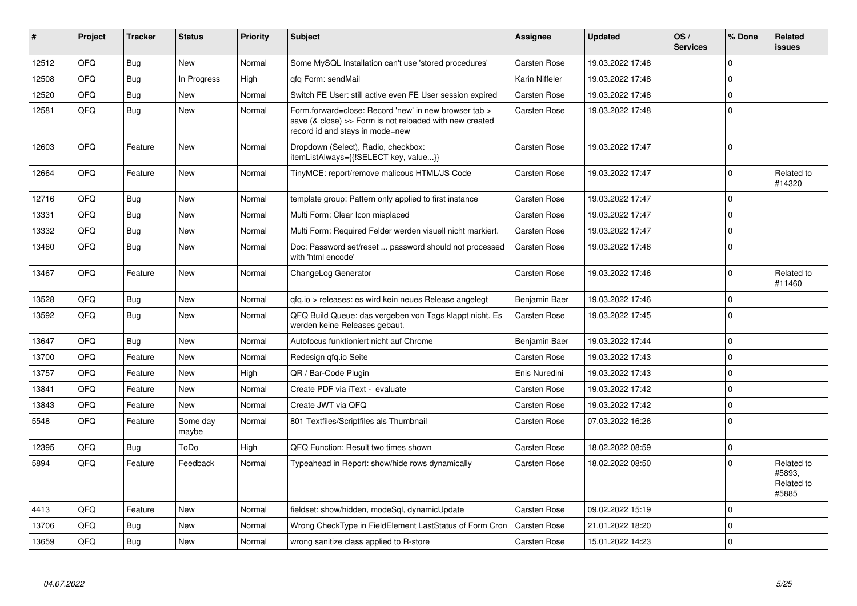| #     | Project | <b>Tracker</b> | <b>Status</b>     | <b>Priority</b> | <b>Subject</b>                                                                                                                                      | Assignee            | <b>Updated</b>   | OS/<br><b>Services</b> | % Done   | <b>Related</b><br><b>issues</b>             |
|-------|---------|----------------|-------------------|-----------------|-----------------------------------------------------------------------------------------------------------------------------------------------------|---------------------|------------------|------------------------|----------|---------------------------------------------|
| 12512 | QFQ     | <b>Bug</b>     | <b>New</b>        | Normal          | Some MySQL Installation can't use 'stored procedures'                                                                                               | <b>Carsten Rose</b> | 19.03.2022 17:48 |                        | $\Omega$ |                                             |
| 12508 | QFQ     | Bug            | In Progress       | High            | gfg Form: sendMail                                                                                                                                  | Karin Niffeler      | 19.03.2022 17:48 |                        | $\Omega$ |                                             |
| 12520 | QFQ     | <b>Bug</b>     | <b>New</b>        | Normal          | Switch FE User: still active even FE User session expired                                                                                           | <b>Carsten Rose</b> | 19.03.2022 17:48 |                        | $\Omega$ |                                             |
| 12581 | QFQ     | <b>Bug</b>     | <b>New</b>        | Normal          | Form.forward=close: Record 'new' in new browser tab ><br>save (& close) >> Form is not reloaded with new created<br>record id and stays in mode=new | Carsten Rose        | 19.03.2022 17:48 |                        | $\Omega$ |                                             |
| 12603 | QFQ     | Feature        | <b>New</b>        | Normal          | Dropdown (Select), Radio, checkbox:<br>itemListAlways={{!SELECT key, value}}                                                                        | Carsten Rose        | 19.03.2022 17:47 |                        | 0        |                                             |
| 12664 | QFQ     | Feature        | <b>New</b>        | Normal          | TinyMCE: report/remove malicous HTML/JS Code                                                                                                        | Carsten Rose        | 19.03.2022 17:47 |                        | $\Omega$ | Related to<br>#14320                        |
| 12716 | QFQ     | Bug            | <b>New</b>        | Normal          | template group: Pattern only applied to first instance                                                                                              | <b>Carsten Rose</b> | 19.03.2022 17:47 |                        | $\Omega$ |                                             |
| 13331 | QFQ     | <b>Bug</b>     | <b>New</b>        | Normal          | Multi Form: Clear Icon misplaced                                                                                                                    | Carsten Rose        | 19.03.2022 17:47 |                        | $\Omega$ |                                             |
| 13332 | QFQ     | <b>Bug</b>     | <b>New</b>        | Normal          | Multi Form: Required Felder werden visuell nicht markiert.                                                                                          | Carsten Rose        | 19.03.2022 17:47 |                        | 0        |                                             |
| 13460 | QFQ     | <b>Bug</b>     | New               | Normal          | Doc: Password set/reset  password should not processed<br>with 'html encode'                                                                        | Carsten Rose        | 19.03.2022 17:46 |                        | 0        |                                             |
| 13467 | QFQ     | Feature        | <b>New</b>        | Normal          | ChangeLog Generator                                                                                                                                 | Carsten Rose        | 19.03.2022 17:46 |                        | $\Omega$ | Related to<br>#11460                        |
| 13528 | QFQ     | <b>Bug</b>     | New               | Normal          | qfq.io > releases: es wird kein neues Release angelegt                                                                                              | Benjamin Baer       | 19.03.2022 17:46 |                        | 0        |                                             |
| 13592 | QFQ     | Bug            | <b>New</b>        | Normal          | QFQ Build Queue: das vergeben von Tags klappt nicht. Es<br>werden keine Releases gebaut.                                                            | Carsten Rose        | 19.03.2022 17:45 |                        | 0        |                                             |
| 13647 | QFQ     | Bug            | New               | Normal          | Autofocus funktioniert nicht auf Chrome                                                                                                             | Benjamin Baer       | 19.03.2022 17:44 |                        | 0        |                                             |
| 13700 | QFQ     | Feature        | <b>New</b>        | Normal          | Redesign gfg.io Seite                                                                                                                               | Carsten Rose        | 19.03.2022 17:43 |                        | $\Omega$ |                                             |
| 13757 | QFQ     | Feature        | <b>New</b>        | High            | QR / Bar-Code Plugin                                                                                                                                | Enis Nuredini       | 19.03.2022 17:43 |                        | $\Omega$ |                                             |
| 13841 | QFQ     | Feature        | <b>New</b>        | Normal          | Create PDF via iText - evaluate                                                                                                                     | Carsten Rose        | 19.03.2022 17:42 |                        | $\Omega$ |                                             |
| 13843 | QFQ     | Feature        | <b>New</b>        | Normal          | Create JWT via QFQ                                                                                                                                  | Carsten Rose        | 19.03.2022 17:42 |                        | $\Omega$ |                                             |
| 5548  | QFQ     | Feature        | Some day<br>maybe | Normal          | 801 Textfiles/Scriptfiles als Thumbnail                                                                                                             | Carsten Rose        | 07.03.2022 16:26 |                        | $\Omega$ |                                             |
| 12395 | QFQ     | <b>Bug</b>     | ToDo              | High            | QFQ Function: Result two times shown                                                                                                                | <b>Carsten Rose</b> | 18.02.2022 08:59 |                        | $\Omega$ |                                             |
| 5894  | QFQ     | Feature        | Feedback          | Normal          | Typeahead in Report: show/hide rows dynamically                                                                                                     | Carsten Rose        | 18.02.2022 08:50 |                        | $\Omega$ | Related to<br>#5893.<br>Related to<br>#5885 |
| 4413  | QFQ     | Feature        | <b>New</b>        | Normal          | fieldset: show/hidden, modeSql, dynamicUpdate                                                                                                       | Carsten Rose        | 09.02.2022 15:19 |                        | $\Omega$ |                                             |
| 13706 | QFQ     | <b>Bug</b>     | <b>New</b>        | Normal          | Wrong CheckType in FieldElement LastStatus of Form Cron                                                                                             | Carsten Rose        | 21.01.2022 18:20 |                        | $\Omega$ |                                             |
| 13659 | QFQ     | <b>Bug</b>     | <b>New</b>        | Normal          | wrong sanitize class applied to R-store                                                                                                             | <b>Carsten Rose</b> | 15.01.2022 14:23 |                        | 0        |                                             |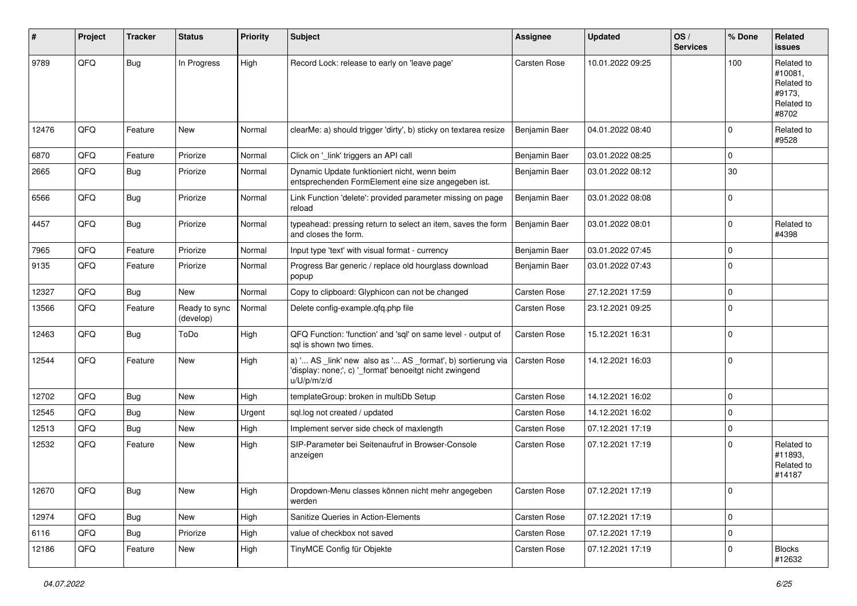| #     | Project | <b>Tracker</b> | <b>Status</b>              | <b>Priority</b> | Subject                                                                                                                               | Assignee            | <b>Updated</b>   | OS/<br><b>Services</b> | % Done      | Related<br><b>issues</b>                                             |
|-------|---------|----------------|----------------------------|-----------------|---------------------------------------------------------------------------------------------------------------------------------------|---------------------|------------------|------------------------|-------------|----------------------------------------------------------------------|
| 9789  | QFQ     | <b>Bug</b>     | In Progress                | High            | Record Lock: release to early on 'leave page'                                                                                         | Carsten Rose        | 10.01.2022 09:25 |                        | 100         | Related to<br>#10081,<br>Related to<br>#9173.<br>Related to<br>#8702 |
| 12476 | QFQ     | Feature        | New                        | Normal          | clearMe: a) should trigger 'dirty', b) sticky on textarea resize                                                                      | Benjamin Baer       | 04.01.2022 08:40 |                        | 0           | Related to<br>#9528                                                  |
| 6870  | QFQ     | Feature        | Priorize                   | Normal          | Click on '_link' triggers an API call                                                                                                 | Benjamin Baer       | 03.01.2022 08:25 |                        | 0           |                                                                      |
| 2665  | QFQ     | Bug            | Priorize                   | Normal          | Dynamic Update funktioniert nicht, wenn beim<br>entsprechenden FormElement eine size angegeben ist.                                   | Benjamin Baer       | 03.01.2022 08:12 |                        | 30          |                                                                      |
| 6566  | QFQ     | Bug            | Priorize                   | Normal          | Link Function 'delete': provided parameter missing on page<br>reload                                                                  | Benjamin Baer       | 03.01.2022 08:08 |                        | 0           |                                                                      |
| 4457  | QFQ     | Bug            | Priorize                   | Normal          | typeahead: pressing return to select an item, saves the form<br>and closes the form.                                                  | Benjamin Baer       | 03.01.2022 08:01 |                        | 0           | Related to<br>#4398                                                  |
| 7965  | QFQ     | Feature        | Priorize                   | Normal          | Input type 'text' with visual format - currency                                                                                       | Benjamin Baer       | 03.01.2022 07:45 |                        | $\mathbf 0$ |                                                                      |
| 9135  | QFQ     | Feature        | Priorize                   | Normal          | Progress Bar generic / replace old hourglass download<br>popup                                                                        | Benjamin Baer       | 03.01.2022 07:43 |                        | 0           |                                                                      |
| 12327 | QFQ     | Bug            | New                        | Normal          | Copy to clipboard: Glyphicon can not be changed                                                                                       | Carsten Rose        | 27.12.2021 17:59 |                        | 0           |                                                                      |
| 13566 | QFQ     | Feature        | Ready to sync<br>(develop) | Normal          | Delete config-example.qfq.php file                                                                                                    | Carsten Rose        | 23.12.2021 09:25 |                        | $\Omega$    |                                                                      |
| 12463 | QFQ     | Bug            | ToDo                       | High            | QFQ Function: 'function' and 'sql' on same level - output of<br>sql is shown two times.                                               | Carsten Rose        | 15.12.2021 16:31 |                        | 0           |                                                                      |
| 12544 | QFQ     | Feature        | New                        | High            | a) ' AS _link' new also as ' AS _format', b) sortierung via<br>'display: none;', c) '_format' benoeitgt nicht zwingend<br>u/U/p/m/z/d | <b>Carsten Rose</b> | 14.12.2021 16:03 |                        | 0           |                                                                      |
| 12702 | QFQ     | Bug            | <b>New</b>                 | High            | templateGroup: broken in multiDb Setup                                                                                                | Carsten Rose        | 14.12.2021 16:02 |                        | 0           |                                                                      |
| 12545 | QFQ     | <b>Bug</b>     | New                        | Urgent          | sql.log not created / updated                                                                                                         | Carsten Rose        | 14.12.2021 16:02 |                        | 0           |                                                                      |
| 12513 | QFQ     | Bug            | New                        | High            | Implement server side check of maxlength                                                                                              | Carsten Rose        | 07.12.2021 17:19 |                        | 0           |                                                                      |
| 12532 | QFQ     | Feature        | New                        | High            | SIP-Parameter bei Seitenaufruf in Browser-Console<br>anzeigen                                                                         | Carsten Rose        | 07.12.2021 17:19 |                        | 0           | Related to<br>#11893,<br>Related to<br>#14187                        |
| 12670 | QFQ     | <b>Bug</b>     | New                        | High            | Dropdown-Menu classes können nicht mehr angegeben<br>werden                                                                           | Carsten Rose        | 07.12.2021 17:19 |                        | 0           |                                                                      |
| 12974 | QFQ     | <b>Bug</b>     | New                        | High            | Sanitize Queries in Action-Elements                                                                                                   | Carsten Rose        | 07.12.2021 17:19 |                        | 0           |                                                                      |
| 6116  | QFQ     | <b>Bug</b>     | Priorize                   | High            | value of checkbox not saved                                                                                                           | Carsten Rose        | 07.12.2021 17:19 |                        | 0           |                                                                      |
| 12186 | QFQ     | Feature        | New                        | High            | TinyMCE Config für Objekte                                                                                                            | Carsten Rose        | 07.12.2021 17:19 |                        | 0           | <b>Blocks</b><br>#12632                                              |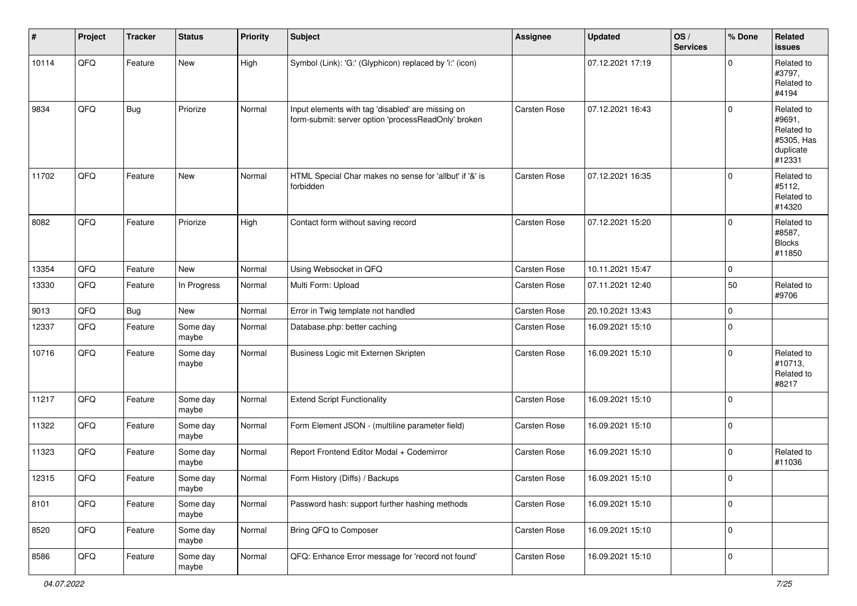| #     | Project | <b>Tracker</b> | <b>Status</b>     | <b>Priority</b> | Subject                                                                                                  | Assignee            | <b>Updated</b>   | OS/<br><b>Services</b> | % Done              | <b>Related</b><br><b>issues</b>                                         |
|-------|---------|----------------|-------------------|-----------------|----------------------------------------------------------------------------------------------------------|---------------------|------------------|------------------------|---------------------|-------------------------------------------------------------------------|
| 10114 | QFQ     | Feature        | New               | High            | Symbol (Link): 'G:' (Glyphicon) replaced by 'i:' (icon)                                                  |                     | 07.12.2021 17:19 |                        | 0                   | Related to<br>#3797,<br>Related to<br>#4194                             |
| 9834  | QFQ     | <b>Bug</b>     | Priorize          | Normal          | Input elements with tag 'disabled' are missing on<br>form-submit: server option 'processReadOnly' broken | Carsten Rose        | 07.12.2021 16:43 |                        | $\Omega$            | Related to<br>#9691,<br>Related to<br>#5305, Has<br>duplicate<br>#12331 |
| 11702 | QFQ     | Feature        | New               | Normal          | HTML Special Char makes no sense for 'allbut' if '&' is<br>forbidden                                     | <b>Carsten Rose</b> | 07.12.2021 16:35 |                        | $\Omega$            | Related to<br>#5112,<br>Related to<br>#14320                            |
| 8082  | QFQ     | Feature        | Priorize          | High            | Contact form without saving record                                                                       | <b>Carsten Rose</b> | 07.12.2021 15:20 |                        | $\mathbf 0$         | Related to<br>#8587,<br><b>Blocks</b><br>#11850                         |
| 13354 | QFQ     | Feature        | <b>New</b>        | Normal          | Using Websocket in QFQ                                                                                   | <b>Carsten Rose</b> | 10.11.2021 15:47 |                        | $\mathbf 0$         |                                                                         |
| 13330 | QFQ     | Feature        | In Progress       | Normal          | Multi Form: Upload                                                                                       | <b>Carsten Rose</b> | 07.11.2021 12:40 |                        | 50                  | Related to<br>#9706                                                     |
| 9013  | QFQ     | <b>Bug</b>     | New               | Normal          | Error in Twig template not handled                                                                       | <b>Carsten Rose</b> | 20.10.2021 13:43 |                        | 0                   |                                                                         |
| 12337 | QFQ     | Feature        | Some day<br>maybe | Normal          | Database.php: better caching                                                                             | Carsten Rose        | 16.09.2021 15:10 |                        | $\Omega$            |                                                                         |
| 10716 | QFQ     | Feature        | Some day<br>maybe | Normal          | Business Logic mit Externen Skripten                                                                     | <b>Carsten Rose</b> | 16.09.2021 15:10 |                        | $\mathbf{0}$        | Related to<br>#10713,<br>Related to<br>#8217                            |
| 11217 | QFQ     | Feature        | Some day<br>maybe | Normal          | <b>Extend Script Functionality</b>                                                                       | Carsten Rose        | 16.09.2021 15:10 |                        | $\mathbf{0}$        |                                                                         |
| 11322 | QFQ     | Feature        | Some day<br>maybe | Normal          | Form Element JSON - (multiline parameter field)                                                          | <b>Carsten Rose</b> | 16.09.2021 15:10 |                        | 0                   |                                                                         |
| 11323 | QFQ     | Feature        | Some day<br>maybe | Normal          | Report Frontend Editor Modal + Codemirror                                                                | <b>Carsten Rose</b> | 16.09.2021 15:10 |                        | 0                   | Related to<br>#11036                                                    |
| 12315 | QFQ     | Feature        | Some day<br>maybe | Normal          | Form History (Diffs) / Backups                                                                           | Carsten Rose        | 16.09.2021 15:10 |                        | 0                   |                                                                         |
| 8101  | QFQ     | Feature        | Some day<br>maybe | Normal          | Password hash: support further hashing methods                                                           | Carsten Rose        | 16.09.2021 15:10 |                        | $\mathbf 0$         |                                                                         |
| 8520  | QFQ     | Feature        | Some day<br>maybe | Normal          | Bring QFQ to Composer                                                                                    | Carsten Rose        | 16.09.2021 15:10 |                        | $\mathsf{O}\xspace$ |                                                                         |
| 8586  | QFQ     | Feature        | Some day<br>maybe | Normal          | QFQ: Enhance Error message for 'record not found'                                                        | Carsten Rose        | 16.09.2021 15:10 |                        | $\mathbf 0$         |                                                                         |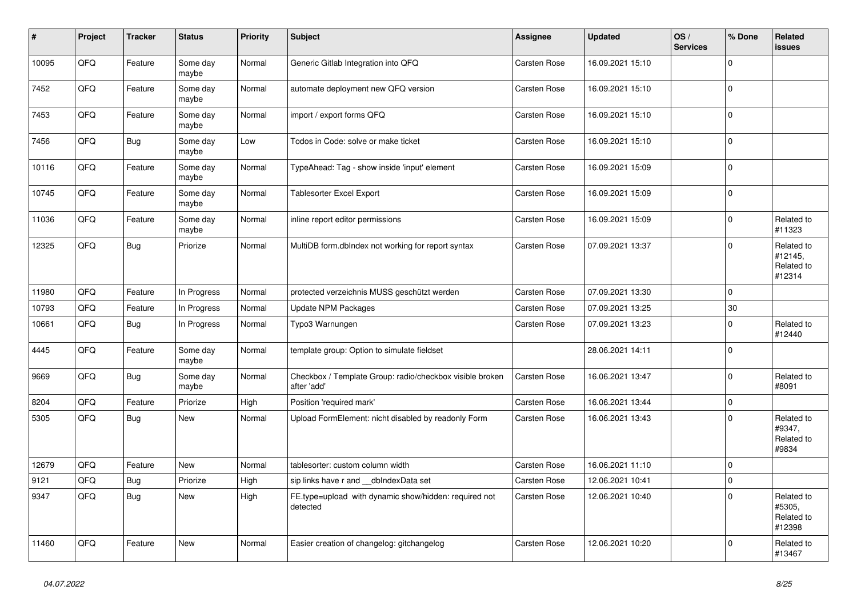| #     | Project | <b>Tracker</b> | <b>Status</b>     | <b>Priority</b> | <b>Subject</b>                                                          | <b>Assignee</b>     | <b>Updated</b>   | OS/<br><b>Services</b> | % Done         | Related<br><b>issues</b>                      |
|-------|---------|----------------|-------------------|-----------------|-------------------------------------------------------------------------|---------------------|------------------|------------------------|----------------|-----------------------------------------------|
| 10095 | QFQ     | Feature        | Some day<br>maybe | Normal          | Generic Gitlab Integration into QFQ                                     | Carsten Rose        | 16.09.2021 15:10 |                        | $\Omega$       |                                               |
| 7452  | QFQ     | Feature        | Some day<br>maybe | Normal          | automate deployment new QFQ version                                     | <b>Carsten Rose</b> | 16.09.2021 15:10 |                        | $\mathbf 0$    |                                               |
| 7453  | QFQ     | Feature        | Some day<br>maybe | Normal          | import / export forms QFQ                                               | Carsten Rose        | 16.09.2021 15:10 |                        | $\Omega$       |                                               |
| 7456  | QFQ     | <b>Bug</b>     | Some day<br>maybe | Low             | Todos in Code: solve or make ticket                                     | <b>Carsten Rose</b> | 16.09.2021 15:10 |                        | $\Omega$       |                                               |
| 10116 | QFQ     | Feature        | Some day<br>maybe | Normal          | TypeAhead: Tag - show inside 'input' element                            | <b>Carsten Rose</b> | 16.09.2021 15:09 |                        | $\mathbf 0$    |                                               |
| 10745 | QFQ     | Feature        | Some day<br>maybe | Normal          | <b>Tablesorter Excel Export</b>                                         | Carsten Rose        | 16.09.2021 15:09 |                        | $\mathbf 0$    |                                               |
| 11036 | QFQ     | Feature        | Some day<br>maybe | Normal          | inline report editor permissions                                        | <b>Carsten Rose</b> | 16.09.2021 15:09 |                        | $\overline{0}$ | Related to<br>#11323                          |
| 12325 | QFQ     | <b>Bug</b>     | Priorize          | Normal          | MultiDB form.dbIndex not working for report syntax                      | <b>Carsten Rose</b> | 07.09.2021 13:37 |                        | $\mathbf 0$    | Related to<br>#12145,<br>Related to<br>#12314 |
| 11980 | QFQ     | Feature        | In Progress       | Normal          | protected verzeichnis MUSS geschützt werden                             | Carsten Rose        | 07.09.2021 13:30 |                        | $\overline{0}$ |                                               |
| 10793 | QFQ     | Feature        | In Progress       | Normal          | Update NPM Packages                                                     | Carsten Rose        | 07.09.2021 13:25 |                        | 30             |                                               |
| 10661 | QFQ     | Bug            | In Progress       | Normal          | Typo3 Warnungen                                                         | Carsten Rose        | 07.09.2021 13:23 |                        | $\mathbf 0$    | Related to<br>#12440                          |
| 4445  | QFQ     | Feature        | Some day<br>maybe | Normal          | template group: Option to simulate fieldset                             |                     | 28.06.2021 14:11 |                        | $\Omega$       |                                               |
| 9669  | QFQ     | Bug            | Some day<br>maybe | Normal          | Checkbox / Template Group: radio/checkbox visible broken<br>after 'add' | Carsten Rose        | 16.06.2021 13:47 |                        | $\mathbf 0$    | Related to<br>#8091                           |
| 8204  | QFQ     | Feature        | Priorize          | High            | Position 'required mark'                                                | Carsten Rose        | 16.06.2021 13:44 |                        | $\mathsf 0$    |                                               |
| 5305  | QFQ     | <b>Bug</b>     | New               | Normal          | Upload FormElement: nicht disabled by readonly Form                     | Carsten Rose        | 16.06.2021 13:43 |                        | $\Omega$       | Related to<br>#9347,<br>Related to<br>#9834   |
| 12679 | QFQ     | Feature        | New               | Normal          | tablesorter: custom column width                                        | Carsten Rose        | 16.06.2021 11:10 |                        | 0              |                                               |
| 9121  | QFQ     | Bug            | Priorize          | High            | sip links have r and dblndexData set                                    | Carsten Rose        | 12.06.2021 10:41 |                        | $\Omega$       |                                               |
| 9347  | QFQ     | <b>Bug</b>     | New               | High            | FE.type=upload with dynamic show/hidden: required not<br>detected       | Carsten Rose        | 12.06.2021 10:40 |                        | $\Omega$       | Related to<br>#5305,<br>Related to<br>#12398  |
| 11460 | QFQ     | Feature        | <b>New</b>        | Normal          | Easier creation of changelog: gitchangelog                              | Carsten Rose        | 12.06.2021 10:20 |                        | $\mathbf 0$    | Related to<br>#13467                          |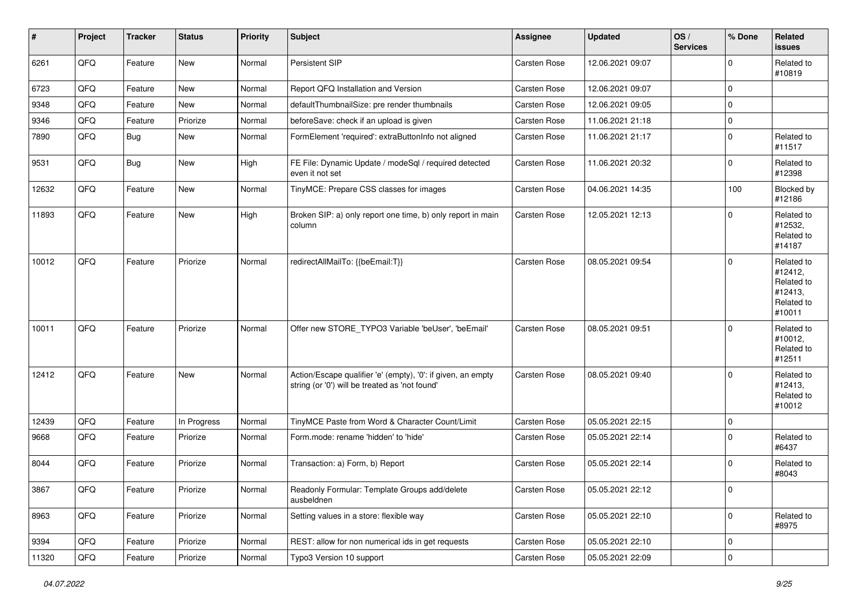| $\sharp$ | Project | <b>Tracker</b> | <b>Status</b> | <b>Priority</b> | <b>Subject</b>                                                                                                 | Assignee            | <b>Updated</b>   | OS/<br><b>Services</b> | % Done       | Related<br><b>issues</b>                                               |
|----------|---------|----------------|---------------|-----------------|----------------------------------------------------------------------------------------------------------------|---------------------|------------------|------------------------|--------------|------------------------------------------------------------------------|
| 6261     | QFQ     | Feature        | New           | Normal          | Persistent SIP                                                                                                 | Carsten Rose        | 12.06.2021 09:07 |                        | $\Omega$     | Related to<br>#10819                                                   |
| 6723     | QFQ     | Feature        | New           | Normal          | Report QFQ Installation and Version                                                                            | <b>Carsten Rose</b> | 12.06.2021 09:07 |                        | $\mathbf 0$  |                                                                        |
| 9348     | QFQ     | Feature        | New           | Normal          | defaultThumbnailSize: pre render thumbnails                                                                    | <b>Carsten Rose</b> | 12.06.2021 09:05 |                        | $\mathbf 0$  |                                                                        |
| 9346     | QFQ     | Feature        | Priorize      | Normal          | beforeSave: check if an upload is given                                                                        | Carsten Rose        | 11.06.2021 21:18 |                        | $\mathbf 0$  |                                                                        |
| 7890     | QFQ     | Bug            | New           | Normal          | FormElement 'required': extraButtonInfo not aligned                                                            | <b>Carsten Rose</b> | 11.06.2021 21:17 |                        | $\mathbf 0$  | Related to<br>#11517                                                   |
| 9531     | QFQ     | Bug            | New           | High            | FE File: Dynamic Update / modeSql / required detected<br>even it not set                                       | <b>Carsten Rose</b> | 11.06.2021 20:32 |                        | $\mathbf 0$  | Related to<br>#12398                                                   |
| 12632    | QFQ     | Feature        | New           | Normal          | TinyMCE: Prepare CSS classes for images                                                                        | Carsten Rose        | 04.06.2021 14:35 |                        | 100          | Blocked by<br>#12186                                                   |
| 11893    | QFQ     | Feature        | New           | High            | Broken SIP: a) only report one time, b) only report in main<br>column                                          | <b>Carsten Rose</b> | 12.05.2021 12:13 |                        | $\Omega$     | Related to<br>#12532,<br>Related to<br>#14187                          |
| 10012    | QFQ     | Feature        | Priorize      | Normal          | redirectAllMailTo: {{beEmail:T}}                                                                               | Carsten Rose        | 08.05.2021 09:54 |                        | $\mathbf 0$  | Related to<br>#12412,<br>Related to<br>#12413.<br>Related to<br>#10011 |
| 10011    | QFQ     | Feature        | Priorize      | Normal          | Offer new STORE_TYPO3 Variable 'beUser', 'beEmail'                                                             | Carsten Rose        | 08.05.2021 09:51 |                        | $\Omega$     | Related to<br>#10012,<br>Related to<br>#12511                          |
| 12412    | QFQ     | Feature        | New           | Normal          | Action/Escape qualifier 'e' (empty), '0': if given, an empty<br>string (or '0') will be treated as 'not found' | Carsten Rose        | 08.05.2021 09:40 |                        | $\Omega$     | Related to<br>#12413,<br>Related to<br>#10012                          |
| 12439    | QFQ     | Feature        | In Progress   | Normal          | TinyMCE Paste from Word & Character Count/Limit                                                                | <b>Carsten Rose</b> | 05.05.2021 22:15 |                        | $\mathbf 0$  |                                                                        |
| 9668     | QFQ     | Feature        | Priorize      | Normal          | Form.mode: rename 'hidden' to 'hide'                                                                           | Carsten Rose        | 05.05.2021 22:14 |                        | $\Omega$     | Related to<br>#6437                                                    |
| 8044     | QFQ     | Feature        | Priorize      | Normal          | Transaction: a) Form, b) Report                                                                                | Carsten Rose        | 05.05.2021 22:14 |                        | $\mathbf 0$  | Related to<br>#8043                                                    |
| 3867     | QFG     | Feature        | Priorize      | Normal          | Readonly Formular: Template Groups add/delete<br>ausbeldnen                                                    | Carsten Rose        | 05.05.2021 22:12 |                        | 0            |                                                                        |
| 8963     | QFQ     | Feature        | Priorize      | Normal          | Setting values in a store: flexible way                                                                        | Carsten Rose        | 05.05.2021 22:10 |                        | $\mathbf{0}$ | Related to<br>#8975                                                    |
| 9394     | QFQ     | Feature        | Priorize      | Normal          | REST: allow for non numerical ids in get requests                                                              | Carsten Rose        | 05.05.2021 22:10 |                        | $\mathbf 0$  |                                                                        |
| 11320    | QFQ     | Feature        | Priorize      | Normal          | Typo3 Version 10 support                                                                                       | Carsten Rose        | 05.05.2021 22:09 |                        | $\mathsf 0$  |                                                                        |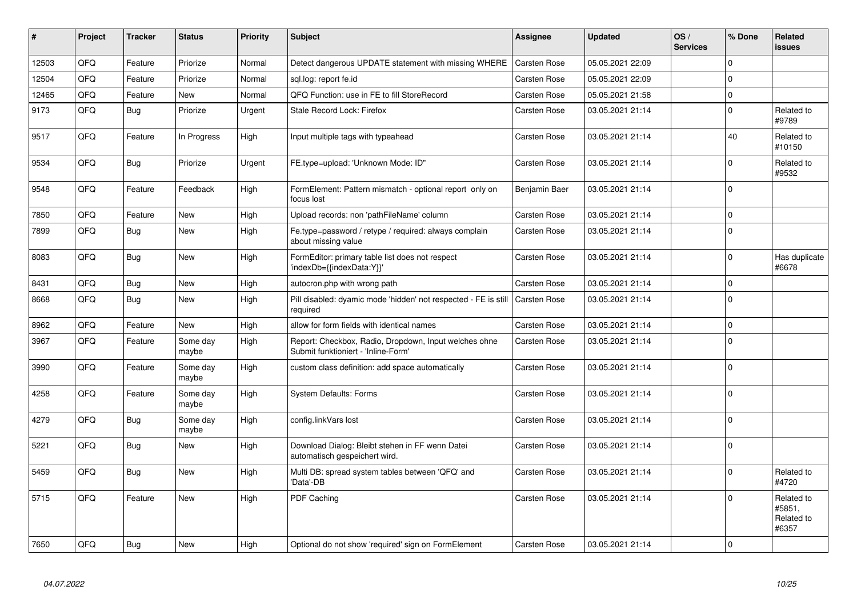| #     | Project | <b>Tracker</b> | <b>Status</b>     | <b>Priority</b> | <b>Subject</b>                                                                               | Assignee            | <b>Updated</b>   | OS/<br><b>Services</b> | % Done         | Related<br><b>issues</b>                    |
|-------|---------|----------------|-------------------|-----------------|----------------------------------------------------------------------------------------------|---------------------|------------------|------------------------|----------------|---------------------------------------------|
| 12503 | QFQ     | Feature        | Priorize          | Normal          | Detect dangerous UPDATE statement with missing WHERE                                         | Carsten Rose        | 05.05.2021 22:09 |                        | $\Omega$       |                                             |
| 12504 | QFQ     | Feature        | Priorize          | Normal          | sgl.log: report fe.id                                                                        | Carsten Rose        | 05.05.2021 22:09 |                        | $\Omega$       |                                             |
| 12465 | QFQ     | Feature        | New               | Normal          | QFQ Function: use in FE to fill StoreRecord                                                  | Carsten Rose        | 05.05.2021 21:58 |                        | 0              |                                             |
| 9173  | QFQ     | Bug            | Priorize          | Urgent          | Stale Record Lock: Firefox                                                                   | <b>Carsten Rose</b> | 03.05.2021 21:14 |                        | 0              | Related to<br>#9789                         |
| 9517  | QFQ     | Feature        | In Progress       | High            | Input multiple tags with typeahead                                                           | <b>Carsten Rose</b> | 03.05.2021 21:14 |                        | 40             | Related to<br>#10150                        |
| 9534  | QFQ     | Bug            | Priorize          | Urgent          | FE.type=upload: 'Unknown Mode: ID"                                                           | Carsten Rose        | 03.05.2021 21:14 |                        | 0              | Related to<br>#9532                         |
| 9548  | QFQ     | Feature        | Feedback          | High            | FormElement: Pattern mismatch - optional report only on<br>focus lost                        | Benjamin Baer       | 03.05.2021 21:14 |                        | $\Omega$       |                                             |
| 7850  | QFQ     | Feature        | <b>New</b>        | High            | Upload records: non 'pathFileName' column                                                    | Carsten Rose        | 03.05.2021 21:14 |                        | 0              |                                             |
| 7899  | QFQ     | <b>Bug</b>     | <b>New</b>        | High            | Fe.type=password / retype / required: always complain<br>about missing value                 | <b>Carsten Rose</b> | 03.05.2021 21:14 |                        | $\Omega$       |                                             |
| 8083  | QFQ     | Bug            | <b>New</b>        | High            | FormEditor: primary table list does not respect<br>'indexDb={{indexData:Y}}'                 | Carsten Rose        | 03.05.2021 21:14 |                        | $\Omega$       | Has duplicate<br>#6678                      |
| 8431  | QFQ     | Bug            | <b>New</b>        | High            | autocron.php with wrong path                                                                 | <b>Carsten Rose</b> | 03.05.2021 21:14 |                        | 0              |                                             |
| 8668  | QFQ     | Bug            | <b>New</b>        | High            | Pill disabled: dyamic mode 'hidden' not respected - FE is still<br>required                  | <b>Carsten Rose</b> | 03.05.2021 21:14 |                        | $\Omega$       |                                             |
| 8962  | QFQ     | Feature        | <b>New</b>        | High            | allow for form fields with identical names                                                   | Carsten Rose        | 03.05.2021 21:14 |                        | $\Omega$       |                                             |
| 3967  | QFQ     | Feature        | Some day<br>maybe | High            | Report: Checkbox, Radio, Dropdown, Input welches ohne<br>Submit funktioniert - 'Inline-Form' | <b>Carsten Rose</b> | 03.05.2021 21:14 |                        | $\overline{0}$ |                                             |
| 3990  | QFQ     | Feature        | Some day<br>maybe | High            | custom class definition: add space automatically                                             | <b>Carsten Rose</b> | 03.05.2021 21:14 |                        | 0              |                                             |
| 4258  | QFQ     | Feature        | Some day<br>maybe | High            | <b>System Defaults: Forms</b>                                                                | Carsten Rose        | 03.05.2021 21:14 |                        | $\Omega$       |                                             |
| 4279  | QFQ     | Bug            | Some day<br>maybe | High            | config.linkVars lost                                                                         | Carsten Rose        | 03.05.2021 21:14 |                        | 0              |                                             |
| 5221  | QFQ     | Bug            | <b>New</b>        | High            | Download Dialog: Bleibt stehen in FF wenn Datei<br>automatisch gespeichert wird.             | Carsten Rose        | 03.05.2021 21:14 |                        | 0              |                                             |
| 5459  | QFQ     | Bug            | <b>New</b>        | High            | Multi DB: spread system tables between 'QFQ' and<br>'Data'-DB                                | Carsten Rose        | 03.05.2021 21:14 |                        | 0              | Related to<br>#4720                         |
| 5715  | QFQ     | Feature        | <b>New</b>        | High            | PDF Caching                                                                                  | <b>Carsten Rose</b> | 03.05.2021 21:14 |                        | $\Omega$       | Related to<br>#5851,<br>Related to<br>#6357 |
| 7650  | QFQ     | Bug            | <b>New</b>        | High            | Optional do not show 'required' sign on FormElement                                          | <b>Carsten Rose</b> | 03.05.2021 21:14 |                        | 0              |                                             |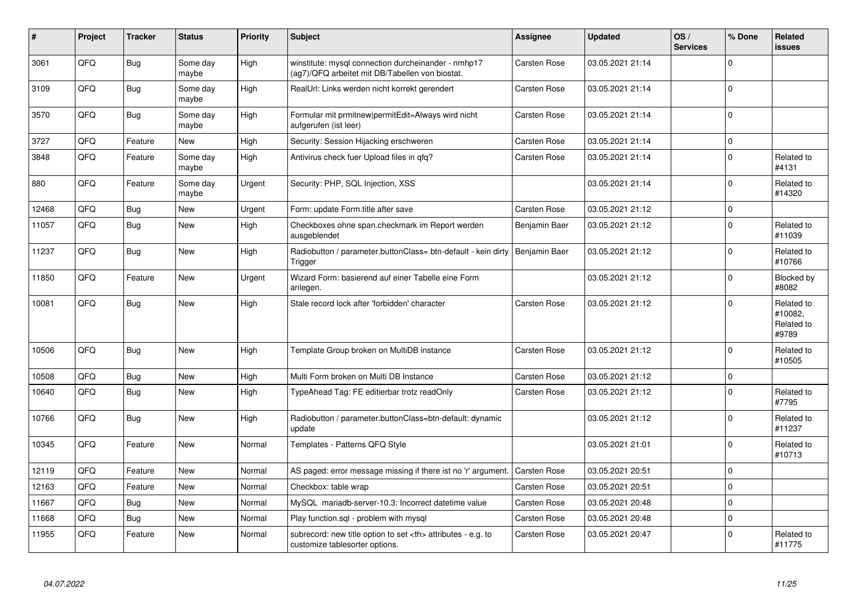| #     | Project | <b>Tracker</b> | <b>Status</b>     | <b>Priority</b> | Subject                                                                                                | Assignee                                               | <b>Updated</b>   | OS/<br><b>Services</b> | % Done         | <b>Related</b><br><b>issues</b>              |                      |
|-------|---------|----------------|-------------------|-----------------|--------------------------------------------------------------------------------------------------------|--------------------------------------------------------|------------------|------------------------|----------------|----------------------------------------------|----------------------|
| 3061  | QFQ     | <b>Bug</b>     | Some day<br>maybe | High            | winstitute: mysql connection durcheinander - nmhp17<br>(ag7)/QFQ arbeitet mit DB/Tabellen von biostat. | Carsten Rose                                           | 03.05.2021 21:14 |                        | $\Omega$       |                                              |                      |
| 3109  | QFQ     | Bug            | Some day<br>maybe | High            | RealUrl: Links werden nicht korrekt gerendert                                                          | Carsten Rose                                           | 03.05.2021 21:14 |                        | $\Omega$       |                                              |                      |
| 3570  | QFQ     | <b>Bug</b>     | Some day<br>maybe | High            | Formular mit prmitnew permitEdit=Always wird nicht<br>aufgerufen (ist leer)                            | <b>Carsten Rose</b>                                    | 03.05.2021 21:14 |                        | $\Omega$       |                                              |                      |
| 3727  | QFQ     | Feature        | <b>New</b>        | High            | Security: Session Hijacking erschweren                                                                 | Carsten Rose                                           | 03.05.2021 21:14 |                        | $\overline{0}$ |                                              |                      |
| 3848  | QFQ     | Feature        | Some day<br>maybe | High            | Antivirus check fuer Upload files in qfq?                                                              | <b>Carsten Rose</b>                                    | 03.05.2021 21:14 |                        | $\overline{0}$ | Related to<br>#4131                          |                      |
| 880   | QFQ     | Feature        | Some day<br>maybe | Urgent          | Security: PHP, SQL Injection, XSS                                                                      |                                                        | 03.05.2021 21:14 |                        | $\overline{0}$ | Related to<br>#14320                         |                      |
| 12468 | QFQ     | Bug            | <b>New</b>        | Urgent          | Form: update Form.title after save                                                                     | Carsten Rose                                           | 03.05.2021 21:12 |                        | 0              |                                              |                      |
| 11057 | QFQ     | Bug            | <b>New</b>        | High            | Checkboxes ohne span.checkmark im Report werden<br>ausgeblendet                                        | Benjamin Baer                                          | 03.05.2021 21:12 |                        | $\mathbf 0$    | Related to<br>#11039                         |                      |
| 11237 | QFQ     | <b>Bug</b>     | <b>New</b>        | High            | Radiobutton / parameter.buttonClass= btn-default - kein dirty<br>Trigger                               | Benjamin Baer                                          | 03.05.2021 21:12 |                        | $\Omega$       | Related to<br>#10766                         |                      |
| 11850 | QFQ     | Feature        | <b>New</b>        | Urgent          | Wizard Form: basierend auf einer Tabelle eine Form<br>anlegen.                                         |                                                        | 03.05.2021 21:12 |                        | 0              | Blocked by<br>#8082                          |                      |
| 10081 | QFQ     | Bug            | <b>New</b>        | High            | Stale record lock after 'forbidden' character                                                          | <b>Carsten Rose</b>                                    | 03.05.2021 21:12 |                        | 0              | Related to<br>#10082,<br>Related to<br>#9789 |                      |
| 10506 | QFQ     | Bug            | <b>New</b>        | High            | Template Group broken on MultiDB instance                                                              | Carsten Rose                                           | 03.05.2021 21:12 |                        | $\overline{0}$ | Related to<br>#10505                         |                      |
| 10508 | QFQ     | Bug            | <b>New</b>        | High            | Multi Form broken on Multi DB Instance                                                                 | Carsten Rose                                           | 03.05.2021 21:12 |                        | 0              |                                              |                      |
| 10640 | QFQ     | Bug            | <b>New</b>        | High            | TypeAhead Tag: FE editierbar trotz readOnly                                                            | Carsten Rose                                           | 03.05.2021 21:12 |                        | $\Omega$       | Related to<br>#7795                          |                      |
| 10766 | QFQ     | Bug            | <b>New</b>        | High            | Radiobutton / parameter.buttonClass=btn-default: dynamic<br>update                                     |                                                        | 03.05.2021 21:12 |                        | $\Omega$       | Related to<br>#11237                         |                      |
| 10345 | QFQ     | Feature        | <b>New</b>        | Normal          | Templates - Patterns QFQ Style                                                                         |                                                        | 03.05.2021 21:01 |                        | 0              | Related to<br>#10713                         |                      |
| 12119 | QFQ     | Feature        | <b>New</b>        | Normal          | AS paged: error message missing if there ist no 'r' argument.                                          | Carsten Rose                                           | 03.05.2021 20:51 |                        | 0              |                                              |                      |
| 12163 | QFQ     | Feature        | <b>New</b>        | Normal          | Checkbox: table wrap                                                                                   | Carsten Rose                                           | 03.05.2021 20:51 |                        | $\Omega$       |                                              |                      |
| 11667 | QFQ     | Bug            | <b>New</b>        | Normal          | MySQL mariadb-server-10.3: Incorrect datetime value                                                    | Carsten Rose                                           | 03.05.2021 20:48 |                        | 0              |                                              |                      |
| 11668 | QFQ     | Bug            | <b>New</b>        | Normal          | Play function.sql - problem with mysql                                                                 | Carsten Rose                                           | 03.05.2021 20:48 |                        | $\Omega$       |                                              |                      |
| 11955 | QFQ     | Feature        | New               | Normal          | subrecord: new title option to set <th> attributes - e.g. to<br/>customize tablesorter options.</th>   | attributes - e.g. to<br>customize tablesorter options. | Carsten Rose     | 03.05.2021 20:47       |                | $\overline{0}$                               | Related to<br>#11775 |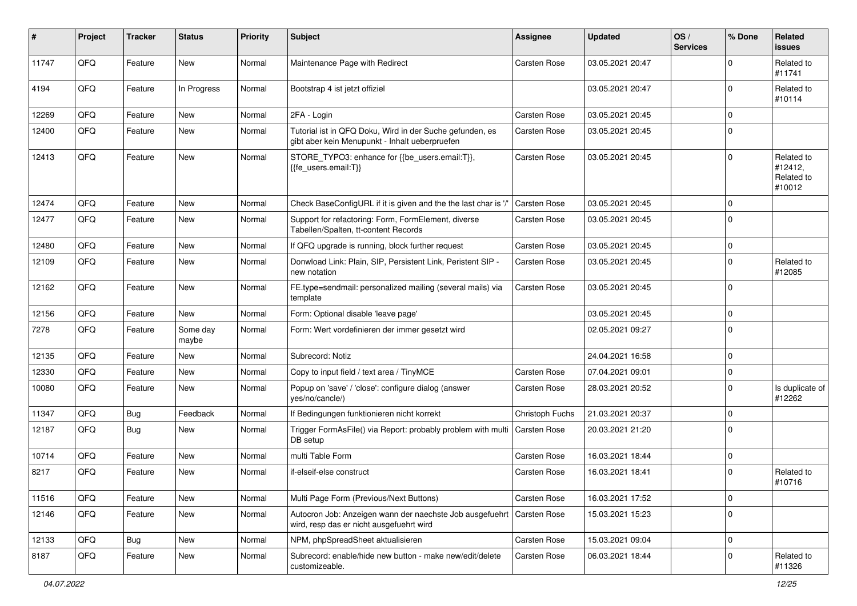| #     | Project | <b>Tracker</b> | <b>Status</b>     | <b>Priority</b> | <b>Subject</b>                                                                                             | <b>Assignee</b>     | <b>Updated</b>   | OS/<br><b>Services</b> | % Done   | Related<br><b>issues</b>                      |
|-------|---------|----------------|-------------------|-----------------|------------------------------------------------------------------------------------------------------------|---------------------|------------------|------------------------|----------|-----------------------------------------------|
| 11747 | QFQ     | Feature        | New               | Normal          | Maintenance Page with Redirect                                                                             | Carsten Rose        | 03.05.2021 20:47 |                        | $\Omega$ | Related to<br>#11741                          |
| 4194  | QFQ     | Feature        | In Progress       | Normal          | Bootstrap 4 ist jetzt offiziel                                                                             |                     | 03.05.2021 20:47 |                        | $\Omega$ | Related to<br>#10114                          |
| 12269 | QFQ     | Feature        | New               | Normal          | 2FA - Login                                                                                                | <b>Carsten Rose</b> | 03.05.2021 20:45 |                        | $\Omega$ |                                               |
| 12400 | QFQ     | Feature        | New               | Normal          | Tutorial ist in QFQ Doku, Wird in der Suche gefunden, es<br>gibt aber kein Menupunkt - Inhalt ueberpruefen | <b>Carsten Rose</b> | 03.05.2021 20:45 |                        | $\Omega$ |                                               |
| 12413 | QFQ     | Feature        | <b>New</b>        | Normal          | STORE_TYPO3: enhance for {{be_users.email:T}},<br>{{fe_users.email:T}}                                     | <b>Carsten Rose</b> | 03.05.2021 20:45 |                        | $\Omega$ | Related to<br>#12412,<br>Related to<br>#10012 |
| 12474 | QFQ     | Feature        | <b>New</b>        | Normal          | Check BaseConfigURL if it is given and the the last char is '/'                                            | <b>Carsten Rose</b> | 03.05.2021 20:45 |                        | 0        |                                               |
| 12477 | QFQ     | Feature        | New               | Normal          | Support for refactoring: Form, FormElement, diverse<br>Tabellen/Spalten, tt-content Records                | Carsten Rose        | 03.05.2021 20:45 |                        | $\Omega$ |                                               |
| 12480 | QFQ     | Feature        | <b>New</b>        | Normal          | If QFQ upgrade is running, block further request                                                           | Carsten Rose        | 03.05.2021 20:45 |                        | 0        |                                               |
| 12109 | QFQ     | Feature        | New               | Normal          | Donwload Link: Plain, SIP, Persistent Link, Peristent SIP -<br>new notation                                | Carsten Rose        | 03.05.2021 20:45 |                        | 0        | Related to<br>#12085                          |
| 12162 | QFQ     | Feature        | New               | Normal          | FE.type=sendmail: personalized mailing (several mails) via<br>template                                     | Carsten Rose        | 03.05.2021 20:45 |                        | 0        |                                               |
| 12156 | QFQ     | Feature        | <b>New</b>        | Normal          | Form: Optional disable 'leave page'                                                                        |                     | 03.05.2021 20:45 |                        | 0        |                                               |
| 7278  | QFQ     | Feature        | Some day<br>maybe | Normal          | Form: Wert vordefinieren der immer gesetzt wird                                                            |                     | 02.05.2021 09:27 |                        | $\Omega$ |                                               |
| 12135 | QFQ     | Feature        | <b>New</b>        | Normal          | Subrecord: Notiz                                                                                           |                     | 24.04.2021 16:58 |                        | 0        |                                               |
| 12330 | QFQ     | Feature        | New               | Normal          | Copy to input field / text area / TinyMCE                                                                  | Carsten Rose        | 07.04.2021 09:01 |                        | 0        |                                               |
| 10080 | QFQ     | Feature        | New               | Normal          | Popup on 'save' / 'close': configure dialog (answer<br>yes/no/cancle/)                                     | <b>Carsten Rose</b> | 28.03.2021 20:52 |                        | $\Omega$ | Is duplicate of<br>#12262                     |
| 11347 | QFQ     | Bug            | Feedback          | Normal          | If Bedingungen funktionieren nicht korrekt                                                                 | Christoph Fuchs     | 21.03.2021 20:37 |                        | $\Omega$ |                                               |
| 12187 | QFQ     | Bug            | New               | Normal          | Trigger FormAsFile() via Report: probably problem with multi<br>DB setup                                   | Carsten Rose        | 20.03.2021 21:20 |                        | 0        |                                               |
| 10714 | QFQ     | Feature        | <b>New</b>        | Normal          | multi Table Form                                                                                           | <b>Carsten Rose</b> | 16.03.2021 18:44 |                        | 0        |                                               |
| 8217  | QFQ     | Feature        | New               | Normal          | if-elseif-else construct                                                                                   | Carsten Rose        | 16.03.2021 18:41 |                        | 0        | Related to<br>#10716                          |
| 11516 | QFQ     | Feature        | New               | Normal          | Multi Page Form (Previous/Next Buttons)                                                                    | Carsten Rose        | 16.03.2021 17:52 |                        | 0        |                                               |
| 12146 | QFQ     | Feature        | New               | Normal          | Autocron Job: Anzeigen wann der naechste Job ausgefuehrt<br>wird, resp das er nicht ausgefuehrt wird       | Carsten Rose        | 15.03.2021 15:23 |                        | 0        |                                               |
| 12133 | QFQ     | Bug            | New               | Normal          | NPM, phpSpreadSheet aktualisieren                                                                          | Carsten Rose        | 15.03.2021 09:04 |                        | 0        |                                               |
| 8187  | QFQ     | Feature        | New               | Normal          | Subrecord: enable/hide new button - make new/edit/delete<br>customizeable.                                 | Carsten Rose        | 06.03.2021 18:44 |                        | 0        | Related to<br>#11326                          |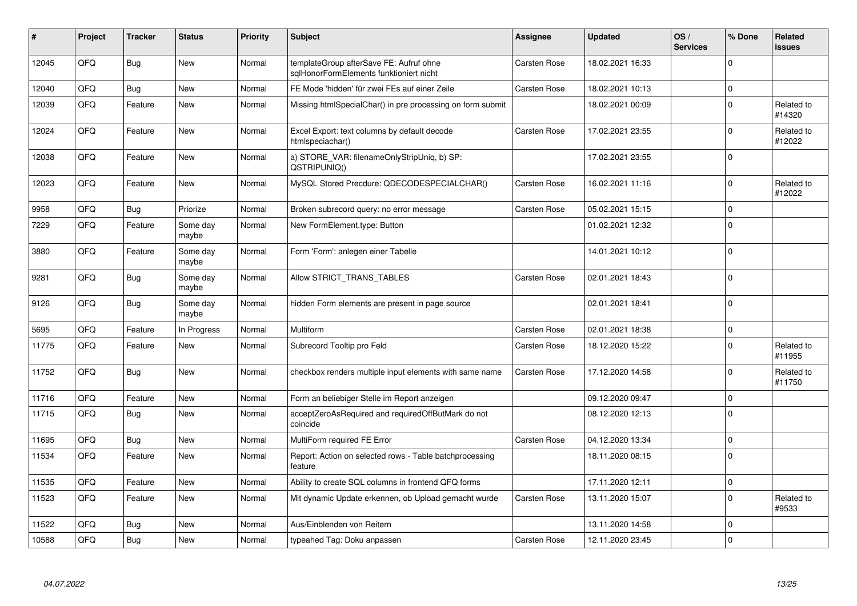| ∦     | Project | <b>Tracker</b> | <b>Status</b>     | <b>Priority</b> | <b>Subject</b>                                                                     | <b>Assignee</b>     | <b>Updated</b>   | OS/<br><b>Services</b> | % Done   | <b>Related</b><br><b>issues</b> |
|-------|---------|----------------|-------------------|-----------------|------------------------------------------------------------------------------------|---------------------|------------------|------------------------|----------|---------------------------------|
| 12045 | QFQ     | Bug            | <b>New</b>        | Normal          | templateGroup afterSave FE: Aufruf ohne<br>sglHonorFormElements funktioniert nicht | <b>Carsten Rose</b> | 18.02.2021 16:33 |                        | $\Omega$ |                                 |
| 12040 | OFQ     | Bug            | <b>New</b>        | Normal          | FE Mode 'hidden' für zwei FEs auf einer Zeile                                      | <b>Carsten Rose</b> | 18.02.2021 10:13 |                        | $\Omega$ |                                 |
| 12039 | QFQ     | Feature        | New               | Normal          | Missing htmlSpecialChar() in pre processing on form submit                         |                     | 18.02.2021 00:09 |                        | $\Omega$ | Related to<br>#14320            |
| 12024 | QFQ     | Feature        | <b>New</b>        | Normal          | Excel Export: text columns by default decode<br>htmlspeciachar()                   | Carsten Rose        | 17.02.2021 23:55 |                        | 0        | Related to<br>#12022            |
| 12038 | QFQ     | Feature        | <b>New</b>        | Normal          | a) STORE_VAR: filenameOnlyStripUniq, b) SP:<br>QSTRIPUNIQ()                        |                     | 17.02.2021 23:55 |                        | 0        |                                 |
| 12023 | QFQ     | Feature        | <b>New</b>        | Normal          | MySQL Stored Precdure: QDECODESPECIALCHAR()                                        | <b>Carsten Rose</b> | 16.02.2021 11:16 |                        | $\Omega$ | Related to<br>#12022            |
| 9958  | QFQ     | Bug            | Priorize          | Normal          | Broken subrecord query: no error message                                           | <b>Carsten Rose</b> | 05.02.2021 15:15 |                        | 0        |                                 |
| 7229  | QFQ     | Feature        | Some day<br>maybe | Normal          | New FormElement.type: Button                                                       |                     | 01.02.2021 12:32 |                        | 0        |                                 |
| 3880  | QFQ     | Feature        | Some day<br>maybe | Normal          | Form 'Form': anlegen einer Tabelle                                                 |                     | 14.01.2021 10:12 |                        | $\Omega$ |                                 |
| 9281  | QFQ     | Bug            | Some day<br>maybe | Normal          | Allow STRICT TRANS TABLES                                                          | <b>Carsten Rose</b> | 02.01.2021 18:43 |                        | 0        |                                 |
| 9126  | QFQ     | Bug            | Some day<br>maybe | Normal          | hidden Form elements are present in page source                                    |                     | 02.01.2021 18:41 |                        | 0        |                                 |
| 5695  | QFQ     | Feature        | In Progress       | Normal          | Multiform                                                                          | <b>Carsten Rose</b> | 02.01.2021 18:38 |                        | 0        |                                 |
| 11775 | QFQ     | Feature        | <b>New</b>        | Normal          | Subrecord Tooltip pro Feld                                                         | <b>Carsten Rose</b> | 18.12.2020 15:22 |                        | 0        | Related to<br>#11955            |
| 11752 | QFQ     | Bug            | <b>New</b>        | Normal          | checkbox renders multiple input elements with same name                            | <b>Carsten Rose</b> | 17.12.2020 14:58 |                        | $\Omega$ | Related to<br>#11750            |
| 11716 | QFQ     | Feature        | <b>New</b>        | Normal          | Form an beliebiger Stelle im Report anzeigen                                       |                     | 09.12.2020 09:47 |                        | 0        |                                 |
| 11715 | QFQ     | Bug            | <b>New</b>        | Normal          | acceptZeroAsRequired and requiredOffButMark do not<br>coincide                     |                     | 08.12.2020 12:13 |                        | $\Omega$ |                                 |
| 11695 | QFQ     | Bug            | <b>New</b>        | Normal          | MultiForm required FE Error                                                        | Carsten Rose        | 04.12.2020 13:34 |                        | 0        |                                 |
| 11534 | QFQ     | Feature        | New               | Normal          | Report: Action on selected rows - Table batchprocessing<br>feature                 |                     | 18.11.2020 08:15 |                        | 0        |                                 |
| 11535 | QFQ     | Feature        | <b>New</b>        | Normal          | Ability to create SQL columns in frontend QFQ forms                                |                     | 17.11.2020 12:11 |                        | 0        |                                 |
| 11523 | QFQ     | Feature        | <b>New</b>        | Normal          | Mit dynamic Update erkennen, ob Upload gemacht wurde                               | Carsten Rose        | 13.11.2020 15:07 |                        | $\Omega$ | Related to<br>#9533             |
| 11522 | QFQ     | Bug            | <b>New</b>        | Normal          | Aus/Einblenden von Reitern                                                         |                     | 13.11.2020 14:58 |                        | 0        |                                 |
| 10588 | QFQ     | Bug            | New               | Normal          | typeahed Tag: Doku anpassen                                                        | Carsten Rose        | 12.11.2020 23:45 |                        | 0        |                                 |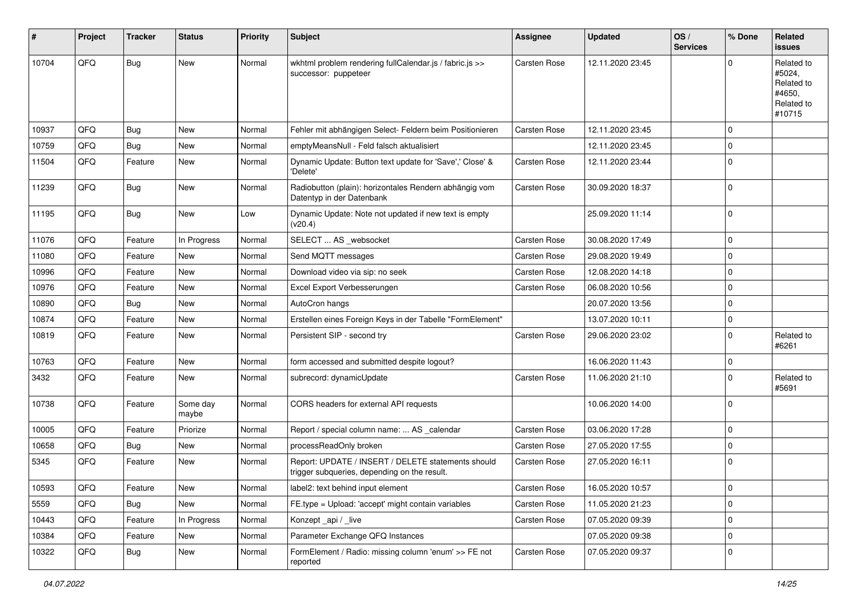| #     | Project | <b>Tracker</b> | <b>Status</b>     | <b>Priority</b> | <b>Subject</b>                                                                                     | <b>Assignee</b>     | <b>Updated</b>   | OS/<br><b>Services</b> | % Done      | Related<br>issues                                                    |
|-------|---------|----------------|-------------------|-----------------|----------------------------------------------------------------------------------------------------|---------------------|------------------|------------------------|-------------|----------------------------------------------------------------------|
| 10704 | QFQ     | Bug            | New               | Normal          | wkhtml problem rendering fullCalendar.js / fabric.js >><br>successor: puppeteer                    | Carsten Rose        | 12.11.2020 23:45 |                        | $\Omega$    | Related to<br>#5024,<br>Related to<br>#4650.<br>Related to<br>#10715 |
| 10937 | QFQ     | Bug            | New               | Normal          | Fehler mit abhängigen Select- Feldern beim Positionieren                                           | Carsten Rose        | 12.11.2020 23:45 |                        | $\mathbf 0$ |                                                                      |
| 10759 | QFQ     | Bug            | New               | Normal          | emptyMeansNull - Feld falsch aktualisiert                                                          |                     | 12.11.2020 23:45 |                        | $\mathbf 0$ |                                                                      |
| 11504 | QFQ     | Feature        | New               | Normal          | Dynamic Update: Button text update for 'Save',' Close' &<br>'Delete'                               | Carsten Rose        | 12.11.2020 23:44 |                        | $\mathbf 0$ |                                                                      |
| 11239 | QFQ     | <b>Bug</b>     | New               | Normal          | Radiobutton (plain): horizontales Rendern abhängig vom<br>Datentyp in der Datenbank                | Carsten Rose        | 30.09.2020 18:37 |                        | $\mathbf 0$ |                                                                      |
| 11195 | QFQ     | <b>Bug</b>     | <b>New</b>        | Low             | Dynamic Update: Note not updated if new text is empty<br>(v20.4)                                   |                     | 25.09.2020 11:14 |                        | $\mathbf 0$ |                                                                      |
| 11076 | QFQ     | Feature        | In Progress       | Normal          | SELECT  AS _websocket                                                                              | Carsten Rose        | 30.08.2020 17:49 |                        | $\mathbf 0$ |                                                                      |
| 11080 | QFQ     | Feature        | <b>New</b>        | Normal          | Send MQTT messages                                                                                 | Carsten Rose        | 29.08.2020 19:49 |                        | $\mathbf 0$ |                                                                      |
| 10996 | QFQ     | Feature        | New               | Normal          | Download video via sip: no seek                                                                    | Carsten Rose        | 12.08.2020 14:18 |                        | $\mathbf 0$ |                                                                      |
| 10976 | QFQ     | Feature        | New               | Normal          | Excel Export Verbesserungen                                                                        | Carsten Rose        | 06.08.2020 10:56 |                        | $\mathbf 0$ |                                                                      |
| 10890 | QFQ     | <b>Bug</b>     | New               | Normal          | AutoCron hangs                                                                                     |                     | 20.07.2020 13:56 |                        | $\mathbf 0$ |                                                                      |
| 10874 | QFQ     | Feature        | New               | Normal          | Erstellen eines Foreign Keys in der Tabelle "FormElement"                                          |                     | 13.07.2020 10:11 |                        | $\pmb{0}$   |                                                                      |
| 10819 | QFQ     | Feature        | <b>New</b>        | Normal          | Persistent SIP - second try                                                                        | Carsten Rose        | 29.06.2020 23:02 |                        | $\mathbf 0$ | Related to<br>#6261                                                  |
| 10763 | QFQ     | Feature        | New               | Normal          | form accessed and submitted despite logout?                                                        |                     | 16.06.2020 11:43 |                        | $\mathbf 0$ |                                                                      |
| 3432  | QFQ     | Feature        | New               | Normal          | subrecord: dynamicUpdate                                                                           | Carsten Rose        | 11.06.2020 21:10 |                        | $\mathbf 0$ | Related to<br>#5691                                                  |
| 10738 | QFQ     | Feature        | Some day<br>maybe | Normal          | CORS headers for external API requests                                                             |                     | 10.06.2020 14:00 |                        | $\mathbf 0$ |                                                                      |
| 10005 | QFQ     | Feature        | Priorize          | Normal          | Report / special column name:  AS _calendar                                                        | <b>Carsten Rose</b> | 03.06.2020 17:28 |                        | $\mathbf 0$ |                                                                      |
| 10658 | QFQ     | <b>Bug</b>     | New               | Normal          | processReadOnly broken                                                                             | Carsten Rose        | 27.05.2020 17:55 |                        | 0           |                                                                      |
| 5345  | QFQ     | Feature        | New               | Normal          | Report: UPDATE / INSERT / DELETE statements should<br>trigger subqueries, depending on the result. | Carsten Rose        | 27.05.2020 16:11 |                        | $\mathbf 0$ |                                                                      |
| 10593 | QFQ     | Feature        | New               | Normal          | label2: text behind input element                                                                  | Carsten Rose        | 16.05.2020 10:57 |                        | 0           |                                                                      |
| 5559  | QFQ     | <b>Bug</b>     | New               | Normal          | FE.type = Upload: 'accept' might contain variables                                                 | Carsten Rose        | 11.05.2020 21:23 |                        | $\mathbf 0$ |                                                                      |
| 10443 | QFQ     | Feature        | In Progress       | Normal          | Konzept_api / _live                                                                                | Carsten Rose        | 07.05.2020 09:39 |                        | $\mathbf 0$ |                                                                      |
| 10384 | QFQ     | Feature        | New               | Normal          | Parameter Exchange QFQ Instances                                                                   |                     | 07.05.2020 09:38 |                        | $\mathbf 0$ |                                                                      |
| 10322 | QFQ     | <b>Bug</b>     | New               | Normal          | FormElement / Radio: missing column 'enum' >> FE not<br>reported                                   | Carsten Rose        | 07.05.2020 09:37 |                        | $\mathbf 0$ |                                                                      |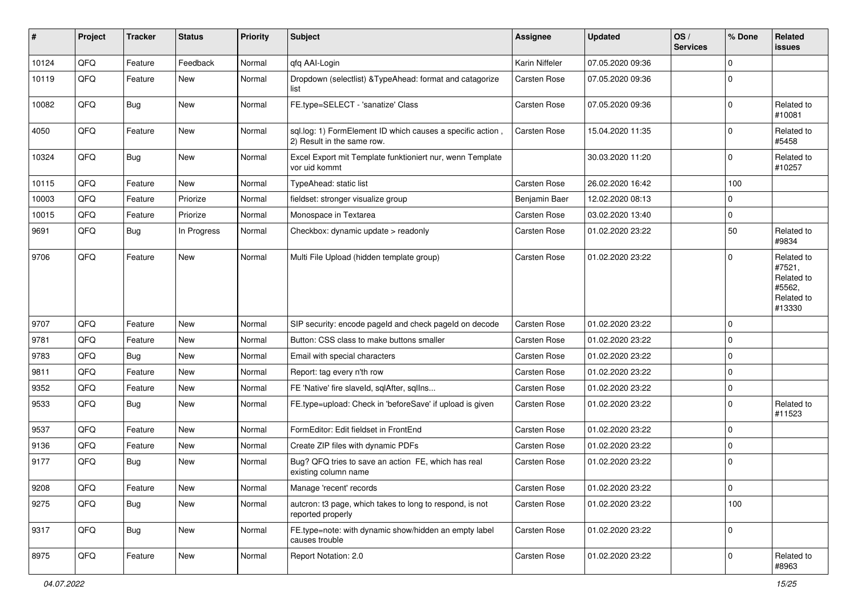| ∦     | Project | <b>Tracker</b> | <b>Status</b> | <b>Priority</b> | Subject                                                                                  | <b>Assignee</b> | <b>Updated</b>   | OS/<br><b>Services</b> | % Done      | <b>Related</b><br><b>issues</b>                                      |
|-------|---------|----------------|---------------|-----------------|------------------------------------------------------------------------------------------|-----------------|------------------|------------------------|-------------|----------------------------------------------------------------------|
| 10124 | QFQ     | Feature        | Feedback      | Normal          | qfq AAI-Login                                                                            | Karin Niffeler  | 07.05.2020 09:36 |                        | $\mathbf 0$ |                                                                      |
| 10119 | QFQ     | Feature        | New           | Normal          | Dropdown (selectlist) & TypeAhead: format and catagorize<br>list                         | Carsten Rose    | 07.05.2020 09:36 |                        | 0           |                                                                      |
| 10082 | QFQ     | Bug            | New           | Normal          | FE.type=SELECT - 'sanatize' Class                                                        | Carsten Rose    | 07.05.2020 09:36 |                        | 0           | Related to<br>#10081                                                 |
| 4050  | QFQ     | Feature        | <b>New</b>    | Normal          | sql.log: 1) FormElement ID which causes a specific action,<br>2) Result in the same row. | Carsten Rose    | 15.04.2020 11:35 |                        | 0           | Related to<br>#5458                                                  |
| 10324 | QFQ     | <b>Bug</b>     | New           | Normal          | Excel Export mit Template funktioniert nur, wenn Template<br>vor uid kommt               |                 | 30.03.2020 11:20 |                        | 0           | Related to<br>#10257                                                 |
| 10115 | QFQ     | Feature        | New           | Normal          | TypeAhead: static list                                                                   | Carsten Rose    | 26.02.2020 16:42 |                        | 100         |                                                                      |
| 10003 | QFQ     | Feature        | Priorize      | Normal          | fieldset: stronger visualize group                                                       | Benjamin Baer   | 12.02.2020 08:13 |                        | $\mathbf 0$ |                                                                      |
| 10015 | QFQ     | Feature        | Priorize      | Normal          | Monospace in Textarea                                                                    | Carsten Rose    | 03.02.2020 13:40 |                        | 0           |                                                                      |
| 9691  | QFQ     | Bug            | In Progress   | Normal          | Checkbox: dynamic update > readonly                                                      | Carsten Rose    | 01.02.2020 23:22 |                        | 50          | Related to<br>#9834                                                  |
| 9706  | QFQ     | Feature        | <b>New</b>    | Normal          | Multi File Upload (hidden template group)                                                | Carsten Rose    | 01.02.2020 23:22 |                        | 0           | Related to<br>#7521,<br>Related to<br>#5562,<br>Related to<br>#13330 |
| 9707  | QFQ     | Feature        | <b>New</b>    | Normal          | SIP security: encode pageld and check pageld on decode                                   | Carsten Rose    | 01.02.2020 23:22 |                        | $\mathbf 0$ |                                                                      |
| 9781  | QFQ     | Feature        | New           | Normal          | Button: CSS class to make buttons smaller                                                | Carsten Rose    | 01.02.2020 23:22 |                        | 0           |                                                                      |
| 9783  | QFQ     | Bug            | New           | Normal          | Email with special characters                                                            | Carsten Rose    | 01.02.2020 23:22 |                        | $\mathbf 0$ |                                                                      |
| 9811  | QFQ     | Feature        | New           | Normal          | Report: tag every n'th row                                                               | Carsten Rose    | 01.02.2020 23:22 |                        | 0           |                                                                      |
| 9352  | QFQ     | Feature        | <b>New</b>    | Normal          | FE 'Native' fire slaveld, sqlAfter, sqlIns                                               | Carsten Rose    | 01.02.2020 23:22 |                        | 0           |                                                                      |
| 9533  | QFQ     | Bug            | New           | Normal          | FE.type=upload: Check in 'beforeSave' if upload is given                                 | Carsten Rose    | 01.02.2020 23:22 |                        | 0           | Related to<br>#11523                                                 |
| 9537  | QFQ     | Feature        | <b>New</b>    | Normal          | FormEditor: Edit fieldset in FrontEnd                                                    | Carsten Rose    | 01.02.2020 23:22 |                        | 0           |                                                                      |
| 9136  | QFQ     | Feature        | <b>New</b>    | Normal          | Create ZIP files with dynamic PDFs                                                       | Carsten Rose    | 01.02.2020 23:22 |                        | 0           |                                                                      |
| 9177  | QFQ     | Bug            | New           | Normal          | Bug? QFQ tries to save an action FE, which has real<br>existing column name              | Carsten Rose    | 01.02.2020 23:22 |                        | 0           |                                                                      |
| 9208  | QFQ     | Feature        | New           | Normal          | Manage 'recent' records                                                                  | Carsten Rose    | 01.02.2020 23:22 |                        | O           |                                                                      |
| 9275  | QFQ     | Bug            | New           | Normal          | autcron: t3 page, which takes to long to respond, is not<br>reported properly            | Carsten Rose    | 01.02.2020 23:22 |                        | 100         |                                                                      |
| 9317  | QFQ     | Bug            | New           | Normal          | FE.type=note: with dynamic show/hidden an empty label<br>causes trouble                  | Carsten Rose    | 01.02.2020 23:22 |                        | 0           |                                                                      |
| 8975  | QFQ     | Feature        | New           | Normal          | Report Notation: 2.0                                                                     | Carsten Rose    | 01.02.2020 23:22 |                        | 0           | Related to<br>#8963                                                  |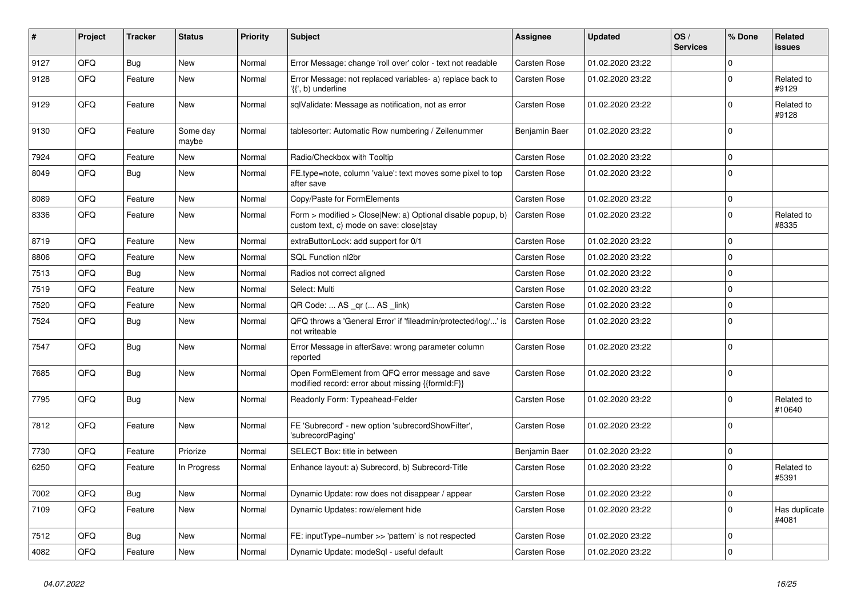| #    | Project | <b>Tracker</b> | <b>Status</b>     | <b>Priority</b> | <b>Subject</b>                                                                                         | Assignee            | <b>Updated</b>   | OS/<br><b>Services</b> | % Done      | <b>Related</b><br><b>issues</b> |
|------|---------|----------------|-------------------|-----------------|--------------------------------------------------------------------------------------------------------|---------------------|------------------|------------------------|-------------|---------------------------------|
| 9127 | QFQ     | Bug            | <b>New</b>        | Normal          | Error Message: change 'roll over' color - text not readable                                            | Carsten Rose        | 01.02.2020 23:22 |                        | 0           |                                 |
| 9128 | QFQ     | Feature        | <b>New</b>        | Normal          | Error Message: not replaced variables- a) replace back to<br>'{{', b) underline                        | Carsten Rose        | 01.02.2020 23:22 |                        | 0           | Related to<br>#9129             |
| 9129 | QFQ     | Feature        | <b>New</b>        | Normal          | sqlValidate: Message as notification, not as error                                                     | Carsten Rose        | 01.02.2020 23:22 |                        | $\Omega$    | Related to<br>#9128             |
| 9130 | QFQ     | Feature        | Some day<br>maybe | Normal          | tablesorter: Automatic Row numbering / Zeilenummer                                                     | Benjamin Baer       | 01.02.2020 23:22 |                        | 0           |                                 |
| 7924 | QFQ     | Feature        | New               | Normal          | Radio/Checkbox with Tooltip                                                                            | Carsten Rose        | 01.02.2020 23:22 |                        | 0           |                                 |
| 8049 | QFQ     | Bug            | <b>New</b>        | Normal          | FE.type=note, column 'value': text moves some pixel to top<br>after save                               | Carsten Rose        | 01.02.2020 23:22 |                        | $\Omega$    |                                 |
| 8089 | QFQ     | Feature        | <b>New</b>        | Normal          | Copy/Paste for FormElements                                                                            | Carsten Rose        | 01.02.2020 23:22 |                        | 0           |                                 |
| 8336 | QFQ     | Feature        | <b>New</b>        | Normal          | Form > modified > Close New: a) Optional disable popup, b)<br>custom text, c) mode on save: close stay | Carsten Rose        | 01.02.2020 23:22 |                        | 0           | Related to<br>#8335             |
| 8719 | QFQ     | Feature        | <b>New</b>        | Normal          | extraButtonLock: add support for 0/1                                                                   | <b>Carsten Rose</b> | 01.02.2020 23:22 |                        | 0           |                                 |
| 8806 | QFQ     | Feature        | New               | Normal          | SQL Function nl2br                                                                                     | Carsten Rose        | 01.02.2020 23:22 |                        | 0           |                                 |
| 7513 | QFQ     | <b>Bug</b>     | New               | Normal          | Radios not correct aligned                                                                             | <b>Carsten Rose</b> | 01.02.2020 23:22 |                        | 0           |                                 |
| 7519 | QFQ     | Feature        | <b>New</b>        | Normal          | Select: Multi                                                                                          | <b>Carsten Rose</b> | 01.02.2020 23:22 |                        | $\Omega$    |                                 |
| 7520 | QFQ     | Feature        | New               | Normal          | QR Code:  AS _qr ( AS _link)                                                                           | <b>Carsten Rose</b> | 01.02.2020 23:22 |                        | 0           |                                 |
| 7524 | QFQ     | Bug            | New               | Normal          | QFQ throws a 'General Error' if 'fileadmin/protected/log/' is<br>not writeable                         | <b>Carsten Rose</b> | 01.02.2020 23:22 |                        | $\Omega$    |                                 |
| 7547 | QFQ     | Bug            | <b>New</b>        | Normal          | Error Message in afterSave: wrong parameter column<br>reported                                         | Carsten Rose        | 01.02.2020 23:22 |                        | $\Omega$    |                                 |
| 7685 | QFQ     | Bug            | <b>New</b>        | Normal          | Open FormElement from QFQ error message and save<br>modified record: error about missing {{formId:F}}  | Carsten Rose        | 01.02.2020 23:22 |                        | $\Omega$    |                                 |
| 7795 | QFQ     | <b>Bug</b>     | <b>New</b>        | Normal          | Readonly Form: Typeahead-Felder                                                                        | <b>Carsten Rose</b> | 01.02.2020 23:22 |                        | 0           | Related to<br>#10640            |
| 7812 | QFQ     | Feature        | <b>New</b>        | Normal          | FE 'Subrecord' - new option 'subrecordShowFilter',<br>'subrecordPaging'                                | Carsten Rose        | 01.02.2020 23:22 |                        | $\Omega$    |                                 |
| 7730 | QFQ     | Feature        | Priorize          | Normal          | SELECT Box: title in between                                                                           | Benjamin Baer       | 01.02.2020 23:22 |                        | 0           |                                 |
| 6250 | QFQ     | Feature        | In Progress       | Normal          | Enhance layout: a) Subrecord, b) Subrecord-Title                                                       | Carsten Rose        | 01.02.2020 23:22 |                        | $\Omega$    | Related to<br>#5391             |
| 7002 | QFQ     | Bug            | <b>New</b>        | Normal          | Dynamic Update: row does not disappear / appear                                                        | <b>Carsten Rose</b> | 01.02.2020 23:22 |                        | $\mathbf 0$ |                                 |
| 7109 | QFQ     | Feature        | New               | Normal          | Dynamic Updates: row/element hide                                                                      | Carsten Rose        | 01.02.2020 23:22 |                        | 0           | Has duplicate<br>#4081          |
| 7512 | QFQ     | Bug            | <b>New</b>        | Normal          | FE: inputType=number >> 'pattern' is not respected                                                     | <b>Carsten Rose</b> | 01.02.2020 23:22 |                        | 0           |                                 |
| 4082 | QFQ     | Feature        | New               | Normal          | Dynamic Update: modeSql - useful default                                                               | Carsten Rose        | 01.02.2020 23:22 |                        | $\Omega$    |                                 |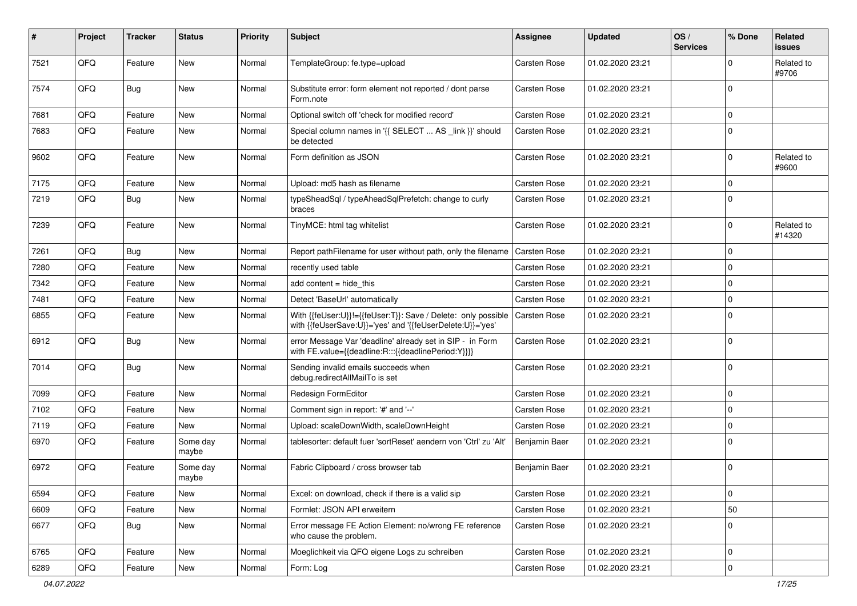| #    | Project | <b>Tracker</b> | <b>Status</b>     | <b>Priority</b> | <b>Subject</b>                                                                                                             | <b>Assignee</b>     | <b>Updated</b>   | OS/<br><b>Services</b> | % Done      | Related<br>issues    |
|------|---------|----------------|-------------------|-----------------|----------------------------------------------------------------------------------------------------------------------------|---------------------|------------------|------------------------|-------------|----------------------|
| 7521 | QFQ     | Feature        | New               | Normal          | TemplateGroup: fe.type=upload                                                                                              | Carsten Rose        | 01.02.2020 23:21 |                        | $\mathbf 0$ | Related to<br>#9706  |
| 7574 | QFQ     | Bug            | <b>New</b>        | Normal          | Substitute error: form element not reported / dont parse<br>Form.note                                                      | Carsten Rose        | 01.02.2020 23:21 |                        | $\mathbf 0$ |                      |
| 7681 | QFQ     | Feature        | <b>New</b>        | Normal          | Optional switch off 'check for modified record'                                                                            | Carsten Rose        | 01.02.2020 23:21 |                        | $\mathbf 0$ |                      |
| 7683 | QFQ     | Feature        | <b>New</b>        | Normal          | Special column names in '{{ SELECT  AS _link }}' should<br>be detected                                                     | Carsten Rose        | 01.02.2020 23:21 |                        | $\mathbf 0$ |                      |
| 9602 | QFQ     | Feature        | <b>New</b>        | Normal          | Form definition as JSON                                                                                                    | Carsten Rose        | 01.02.2020 23:21 |                        | $\mathbf 0$ | Related to<br>#9600  |
| 7175 | QFQ     | Feature        | <b>New</b>        | Normal          | Upload: md5 hash as filename                                                                                               | <b>Carsten Rose</b> | 01.02.2020 23:21 |                        | $\mathbf 0$ |                      |
| 7219 | QFQ     | Bug            | New               | Normal          | typeSheadSql / typeAheadSqlPrefetch: change to curly<br>braces                                                             | Carsten Rose        | 01.02.2020 23:21 |                        | $\mathbf 0$ |                      |
| 7239 | QFQ     | Feature        | New               | Normal          | TinyMCE: html tag whitelist                                                                                                | Carsten Rose        | 01.02.2020 23:21 |                        | $\mathbf 0$ | Related to<br>#14320 |
| 7261 | QFQ     | <b>Bug</b>     | <b>New</b>        | Normal          | Report pathFilename for user without path, only the filename                                                               | Carsten Rose        | 01.02.2020 23:21 |                        | 0           |                      |
| 7280 | QFQ     | Feature        | New               | Normal          | recently used table                                                                                                        | Carsten Rose        | 01.02.2020 23:21 |                        | $\mathbf 0$ |                      |
| 7342 | QFQ     | Feature        | <b>New</b>        | Normal          | add content = hide this                                                                                                    | <b>Carsten Rose</b> | 01.02.2020 23:21 |                        | $\mathbf 0$ |                      |
| 7481 | QFQ     | Feature        | <b>New</b>        | Normal          | Detect 'BaseUrl' automatically                                                                                             | Carsten Rose        | 01.02.2020 23:21 |                        | $\pmb{0}$   |                      |
| 6855 | QFQ     | Feature        | <b>New</b>        | Normal          | With {{feUser:U}}!={{feUser:T}}: Save / Delete: only possible<br>with {{feUserSave:U}}='yes' and '{{feUserDelete:U}}='yes' | Carsten Rose        | 01.02.2020 23:21 |                        | $\mathbf 0$ |                      |
| 6912 | QFQ     | <b>Bug</b>     | New               | Normal          | error Message Var 'deadline' already set in SIP - in Form<br>with FE.value={{deadline:R:::{{deadlinePeriod:Y}}}}           | Carsten Rose        | 01.02.2020 23:21 |                        | $\mathbf 0$ |                      |
| 7014 | QFQ     | <b>Bug</b>     | New               | Normal          | Sending invalid emails succeeds when<br>debug.redirectAllMailTo is set                                                     | Carsten Rose        | 01.02.2020 23:21 |                        | $\mathbf 0$ |                      |
| 7099 | QFQ     | Feature        | <b>New</b>        | Normal          | Redesign FormEditor                                                                                                        | Carsten Rose        | 01.02.2020 23:21 |                        | $\pmb{0}$   |                      |
| 7102 | QFQ     | Feature        | <b>New</b>        | Normal          | Comment sign in report: '#' and '--'                                                                                       | Carsten Rose        | 01.02.2020 23:21 |                        | $\mathbf 0$ |                      |
| 7119 | QFQ     | Feature        | New               | Normal          | Upload: scaleDownWidth, scaleDownHeight                                                                                    | Carsten Rose        | 01.02.2020 23:21 |                        | $\mathbf 0$ |                      |
| 6970 | QFQ     | Feature        | Some day<br>maybe | Normal          | tablesorter: default fuer 'sortReset' aendern von 'Ctrl' zu 'Alt'                                                          | Benjamin Baer       | 01.02.2020 23:21 |                        | $\mathbf 0$ |                      |
| 6972 | QFQ     | Feature        | Some day<br>maybe | Normal          | Fabric Clipboard / cross browser tab                                                                                       | Benjamin Baer       | 01.02.2020 23:21 |                        | $\mathbf 0$ |                      |
| 6594 | QFQ     | Feature        | New               | Normal          | Excel: on download, check if there is a valid sip                                                                          | Carsten Rose        | 01.02.2020 23:21 |                        | $\pmb{0}$   |                      |
| 6609 | QFQ     | Feature        | New               | Normal          | Formlet: JSON API erweitern                                                                                                | Carsten Rose        | 01.02.2020 23:21 |                        | 50          |                      |
| 6677 | QFQ     | <b>Bug</b>     | New               | Normal          | Error message FE Action Element: no/wrong FE reference<br>who cause the problem.                                           | Carsten Rose        | 01.02.2020 23:21 |                        | $\pmb{0}$   |                      |
| 6765 | QFQ     | Feature        | New               | Normal          | Moeglichkeit via QFQ eigene Logs zu schreiben                                                                              | Carsten Rose        | 01.02.2020 23:21 |                        | $\pmb{0}$   |                      |
| 6289 | QFQ     | Feature        | New               | Normal          | Form: Log                                                                                                                  | Carsten Rose        | 01.02.2020 23:21 |                        | $\pmb{0}$   |                      |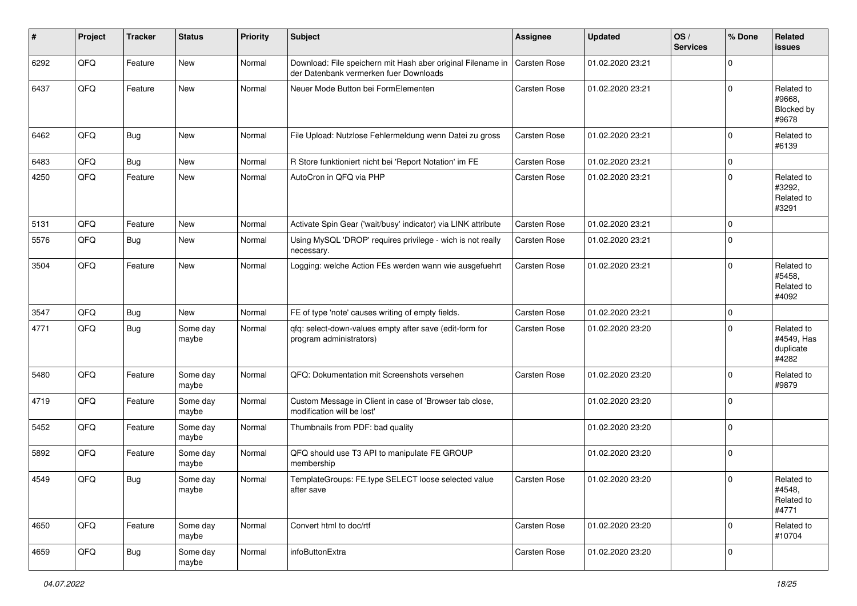| #    | Project | <b>Tracker</b> | <b>Status</b>     | <b>Priority</b> | <b>Subject</b>                                                                                        | <b>Assignee</b>     | <b>Updated</b>   | OS/<br><b>Services</b> | % Done      | Related<br><b>issues</b>                       |
|------|---------|----------------|-------------------|-----------------|-------------------------------------------------------------------------------------------------------|---------------------|------------------|------------------------|-------------|------------------------------------------------|
| 6292 | QFQ     | Feature        | New               | Normal          | Download: File speichern mit Hash aber original Filename in<br>der Datenbank vermerken fuer Downloads | <b>Carsten Rose</b> | 01.02.2020 23:21 |                        | 0           |                                                |
| 6437 | QFQ     | Feature        | <b>New</b>        | Normal          | Neuer Mode Button bei FormElementen                                                                   | <b>Carsten Rose</b> | 01.02.2020 23:21 |                        | $\Omega$    | Related to<br>#9668.<br>Blocked by<br>#9678    |
| 6462 | QFQ     | <b>Bug</b>     | <b>New</b>        | Normal          | File Upload: Nutzlose Fehlermeldung wenn Datei zu gross                                               | <b>Carsten Rose</b> | 01.02.2020 23:21 |                        | $\mathbf 0$ | Related to<br>#6139                            |
| 6483 | QFQ     | <b>Bug</b>     | <b>New</b>        | Normal          | R Store funktioniert nicht bei 'Report Notation' im FE                                                | <b>Carsten Rose</b> | 01.02.2020 23:21 |                        | 0           |                                                |
| 4250 | QFQ     | Feature        | New               | Normal          | AutoCron in QFQ via PHP                                                                               | Carsten Rose        | 01.02.2020 23:21 |                        | $\Omega$    | Related to<br>#3292,<br>Related to<br>#3291    |
| 5131 | QFQ     | Feature        | <b>New</b>        | Normal          | Activate Spin Gear ('wait/busy' indicator) via LINK attribute                                         | <b>Carsten Rose</b> | 01.02.2020 23:21 |                        | $\mathbf 0$ |                                                |
| 5576 | QFQ     | <b>Bug</b>     | New               | Normal          | Using MySQL 'DROP' requires privilege - wich is not really<br>necessary.                              | Carsten Rose        | 01.02.2020 23:21 |                        | $\Omega$    |                                                |
| 3504 | QFQ     | Feature        | <b>New</b>        | Normal          | Logging: welche Action FEs werden wann wie ausgefuehrt                                                | <b>Carsten Rose</b> | 01.02.2020 23:21 |                        | $\Omega$    | Related to<br>#5458,<br>Related to<br>#4092    |
| 3547 | QFQ     | <b>Bug</b>     | New               | Normal          | FE of type 'note' causes writing of empty fields.                                                     | <b>Carsten Rose</b> | 01.02.2020 23:21 |                        | $\mathbf 0$ |                                                |
| 4771 | QFQ     | <b>Bug</b>     | Some day<br>maybe | Normal          | qfq: select-down-values empty after save (edit-form for<br>program administrators)                    | Carsten Rose        | 01.02.2020 23:20 |                        | $\Omega$    | Related to<br>#4549, Has<br>duplicate<br>#4282 |
| 5480 | QFQ     | Feature        | Some day<br>maybe | Normal          | QFQ: Dokumentation mit Screenshots versehen                                                           | <b>Carsten Rose</b> | 01.02.2020 23:20 |                        | 0           | Related to<br>#9879                            |
| 4719 | QFQ     | Feature        | Some day<br>maybe | Normal          | Custom Message in Client in case of 'Browser tab close,<br>modification will be lost'                 |                     | 01.02.2020 23:20 |                        | $\Omega$    |                                                |
| 5452 | QFQ     | Feature        | Some day<br>maybe | Normal          | Thumbnails from PDF: bad quality                                                                      |                     | 01.02.2020 23:20 |                        | 0           |                                                |
| 5892 | QFQ     | Feature        | Some day<br>maybe | Normal          | QFQ should use T3 API to manipulate FE GROUP<br>membership                                            |                     | 01.02.2020 23:20 |                        | 0           |                                                |
| 4549 | QFQ     | Bug            | Some day<br>maybe | Normal          | TemplateGroups: FE.type SELECT loose selected value<br>after save                                     | <b>Carsten Rose</b> | 01.02.2020 23:20 |                        | $\mathbf 0$ | Related to<br>#4548,<br>Related to<br>#4771    |
| 4650 | QFQ     | Feature        | Some day<br>maybe | Normal          | Convert html to doc/rtf                                                                               | Carsten Rose        | 01.02.2020 23:20 |                        | $\mathbf 0$ | Related to<br>#10704                           |
| 4659 | QFQ     | Bug            | Some day<br>maybe | Normal          | infoButtonExtra                                                                                       | Carsten Rose        | 01.02.2020 23:20 |                        | $\mathbf 0$ |                                                |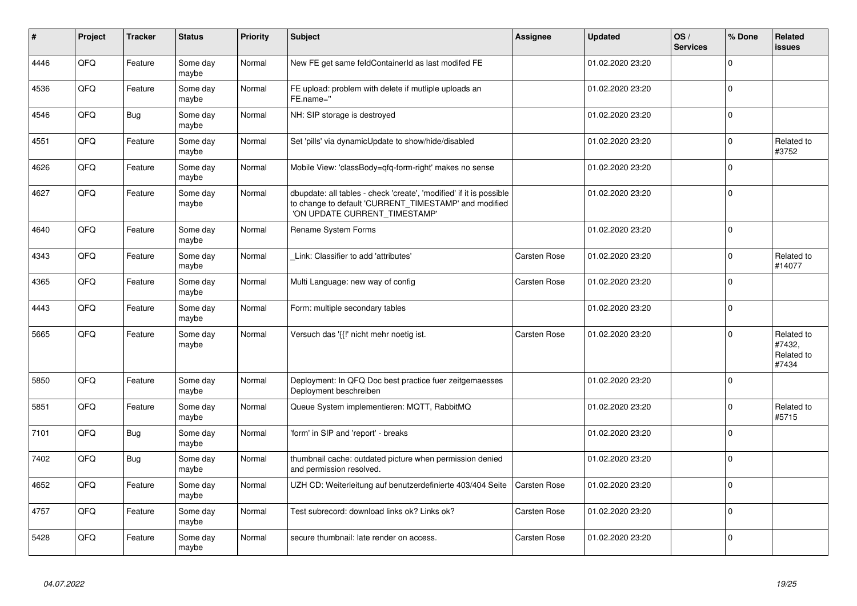| ∦    | Project | <b>Tracker</b> | <b>Status</b>     | <b>Priority</b> | <b>Subject</b>                                                                                                                                                | Assignee            | <b>Updated</b>   | OS/<br><b>Services</b> | % Done      | Related<br>issues                           |
|------|---------|----------------|-------------------|-----------------|---------------------------------------------------------------------------------------------------------------------------------------------------------------|---------------------|------------------|------------------------|-------------|---------------------------------------------|
| 4446 | QFQ     | Feature        | Some day<br>maybe | Normal          | New FE get same feldContainerId as last modifed FE                                                                                                            |                     | 01.02.2020 23:20 |                        | $\Omega$    |                                             |
| 4536 | QFQ     | Feature        | Some day<br>maybe | Normal          | FE upload: problem with delete if mutliple uploads an<br>FE.name="                                                                                            |                     | 01.02.2020 23:20 |                        | 0           |                                             |
| 4546 | QFQ     | <b>Bug</b>     | Some day<br>maybe | Normal          | NH: SIP storage is destroyed                                                                                                                                  |                     | 01.02.2020 23:20 |                        | $\mathbf 0$ |                                             |
| 4551 | QFQ     | Feature        | Some day<br>maybe | Normal          | Set 'pills' via dynamicUpdate to show/hide/disabled                                                                                                           |                     | 01.02.2020 23:20 |                        | $\Omega$    | Related to<br>#3752                         |
| 4626 | QFQ     | Feature        | Some day<br>maybe | Normal          | Mobile View: 'classBody=qfq-form-right' makes no sense                                                                                                        |                     | 01.02.2020 23:20 |                        | $\mathbf 0$ |                                             |
| 4627 | QFQ     | Feature        | Some day<br>maybe | Normal          | dbupdate: all tables - check 'create', 'modified' if it is possible<br>to change to default 'CURRENT_TIMESTAMP' and modified<br>'ON UPDATE CURRENT TIMESTAMP' |                     | 01.02.2020 23:20 |                        | $\mathbf 0$ |                                             |
| 4640 | QFQ     | Feature        | Some day<br>maybe | Normal          | Rename System Forms                                                                                                                                           |                     | 01.02.2020 23:20 |                        | $\pmb{0}$   |                                             |
| 4343 | QFQ     | Feature        | Some day<br>maybe | Normal          | Link: Classifier to add 'attributes'                                                                                                                          | Carsten Rose        | 01.02.2020 23:20 |                        | $\pmb{0}$   | Related to<br>#14077                        |
| 4365 | QFQ     | Feature        | Some day<br>maybe | Normal          | Multi Language: new way of config                                                                                                                             | Carsten Rose        | 01.02.2020 23:20 |                        | $\mathbf 0$ |                                             |
| 4443 | QFQ     | Feature        | Some day<br>maybe | Normal          | Form: multiple secondary tables                                                                                                                               |                     | 01.02.2020 23:20 |                        | $\pmb{0}$   |                                             |
| 5665 | QFQ     | Feature        | Some day<br>maybe | Normal          | Versuch das '{{!' nicht mehr noetig ist.                                                                                                                      | <b>Carsten Rose</b> | 01.02.2020 23:20 |                        | $\mathbf 0$ | Related to<br>#7432,<br>Related to<br>#7434 |
| 5850 | QFQ     | Feature        | Some day<br>maybe | Normal          | Deployment: In QFQ Doc best practice fuer zeitgemaesses<br>Deployment beschreiben                                                                             |                     | 01.02.2020 23:20 |                        | $\mathbf 0$ |                                             |
| 5851 | QFQ     | Feature        | Some day<br>maybe | Normal          | Queue System implementieren: MQTT, RabbitMQ                                                                                                                   |                     | 01.02.2020 23:20 |                        | $\mathbf 0$ | Related to<br>#5715                         |
| 7101 | QFQ     | <b>Bug</b>     | Some day<br>maybe | Normal          | 'form' in SIP and 'report' - breaks                                                                                                                           |                     | 01.02.2020 23:20 |                        | $\mathbf 0$ |                                             |
| 7402 | QFQ     | Bug            | Some day<br>maybe | Normal          | thumbnail cache: outdated picture when permission denied<br>and permission resolved.                                                                          |                     | 01.02.2020 23:20 |                        | $\mathbf 0$ |                                             |
| 4652 | QFQ     | Feature        | Some day<br>maybe | Normal          | UZH CD: Weiterleitung auf benutzerdefinierte 403/404 Seite                                                                                                    | <b>Carsten Rose</b> | 01.02.2020 23:20 |                        | $\mathbf 0$ |                                             |
| 4757 | QFQ     | Feature        | Some day<br>maybe | Normal          | Test subrecord: download links ok? Links ok?                                                                                                                  | Carsten Rose        | 01.02.2020 23:20 |                        | $\mathbf 0$ |                                             |
| 5428 | QFQ     | Feature        | Some day<br>maybe | Normal          | secure thumbnail: late render on access.                                                                                                                      | <b>Carsten Rose</b> | 01.02.2020 23:20 |                        | $\mathbf 0$ |                                             |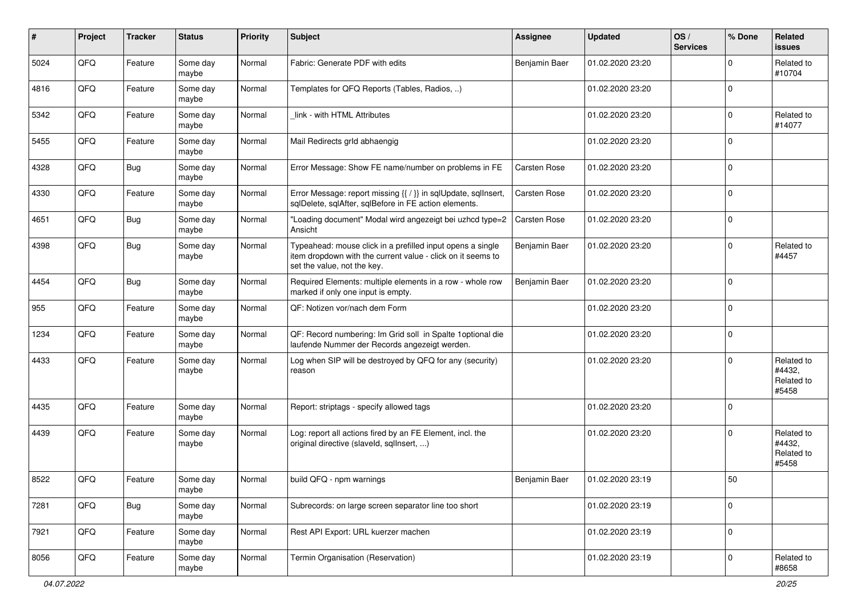| #    | Project | <b>Tracker</b> | <b>Status</b>     | <b>Priority</b> | Subject                                                                                                                                                  | Assignee      | <b>Updated</b>   | OS/<br><b>Services</b> | % Done      | Related<br>issues                           |
|------|---------|----------------|-------------------|-----------------|----------------------------------------------------------------------------------------------------------------------------------------------------------|---------------|------------------|------------------------|-------------|---------------------------------------------|
| 5024 | QFQ     | Feature        | Some day<br>maybe | Normal          | Fabric: Generate PDF with edits                                                                                                                          | Benjamin Baer | 01.02.2020 23:20 |                        | $\Omega$    | Related to<br>#10704                        |
| 4816 | QFQ     | Feature        | Some day<br>maybe | Normal          | Templates for QFQ Reports (Tables, Radios, )                                                                                                             |               | 01.02.2020 23:20 |                        | $\mathbf 0$ |                                             |
| 5342 | QFQ     | Feature        | Some day<br>maybe | Normal          | link - with HTML Attributes                                                                                                                              |               | 01.02.2020 23:20 |                        | $\mathbf 0$ | Related to<br>#14077                        |
| 5455 | QFQ     | Feature        | Some day<br>maybe | Normal          | Mail Redirects grld abhaengig                                                                                                                            |               | 01.02.2020 23:20 |                        | $\mathbf 0$ |                                             |
| 4328 | QFQ     | Bug            | Some day<br>maybe | Normal          | Error Message: Show FE name/number on problems in FE                                                                                                     | Carsten Rose  | 01.02.2020 23:20 |                        | $\mathbf 0$ |                                             |
| 4330 | QFQ     | Feature        | Some day<br>maybe | Normal          | Error Message: report missing {{ / }} in sqlUpdate, sqlInsert,<br>sqlDelete, sqlAfter, sqlBefore in FE action elements.                                  | Carsten Rose  | 01.02.2020 23:20 |                        | $\mathbf 0$ |                                             |
| 4651 | QFQ     | <b>Bug</b>     | Some day<br>maybe | Normal          | "Loading document" Modal wird angezeigt bei uzhcd type=2<br>Ansicht                                                                                      | Carsten Rose  | 01.02.2020 23:20 |                        | $\mathbf 0$ |                                             |
| 4398 | QFQ     | Bug            | Some day<br>maybe | Normal          | Typeahead: mouse click in a prefilled input opens a single<br>item dropdown with the current value - click on it seems to<br>set the value, not the key. | Benjamin Baer | 01.02.2020 23:20 |                        | $\Omega$    | Related to<br>#4457                         |
| 4454 | QFQ     | <b>Bug</b>     | Some day<br>maybe | Normal          | Required Elements: multiple elements in a row - whole row<br>marked if only one input is empty.                                                          | Benjamin Baer | 01.02.2020 23:20 |                        | $\mathbf 0$ |                                             |
| 955  | QFQ     | Feature        | Some day<br>maybe | Normal          | QF: Notizen vor/nach dem Form                                                                                                                            |               | 01.02.2020 23:20 |                        | $\mathbf 0$ |                                             |
| 1234 | QFQ     | Feature        | Some day<br>maybe | Normal          | QF: Record numbering: Im Grid soll in Spalte 1optional die<br>laufende Nummer der Records angezeigt werden.                                              |               | 01.02.2020 23:20 |                        | $\mathbf 0$ |                                             |
| 4433 | QFQ     | Feature        | Some day<br>maybe | Normal          | Log when SIP will be destroyed by QFQ for any (security)<br>reason                                                                                       |               | 01.02.2020 23:20 |                        | $\Omega$    | Related to<br>#4432,<br>Related to<br>#5458 |
| 4435 | QFQ     | Feature        | Some day<br>maybe | Normal          | Report: striptags - specify allowed tags                                                                                                                 |               | 01.02.2020 23:20 |                        | $\mathbf 0$ |                                             |
| 4439 | QFQ     | Feature        | Some day<br>maybe | Normal          | Log: report all actions fired by an FE Element, incl. the<br>original directive (slaveld, sqllnsert, )                                                   |               | 01.02.2020 23:20 |                        | $\Omega$    | Related to<br>#4432,<br>Related to<br>#5458 |
| 8522 | QFQ     | Feature        | Some day<br>maybe | Normal          | build QFQ - npm warnings                                                                                                                                 | Benjamin Baer | 01.02.2020 23:19 |                        | 50          |                                             |
| 7281 | QFO     | Bug            | Some day<br>maybe | Normal          | Subrecords: on large screen separator line too short                                                                                                     |               | 01.02.2020 23:19 |                        | $\mathbf 0$ |                                             |
| 7921 | QFQ     | Feature        | Some day<br>maybe | Normal          | Rest API Export: URL kuerzer machen                                                                                                                      |               | 01.02.2020 23:19 |                        | $\mathbf 0$ |                                             |
| 8056 | QFO     | Feature        | Some day<br>maybe | Normal          | Termin Organisation (Reservation)                                                                                                                        |               | 01.02.2020 23:19 |                        | $\mathbf 0$ | Related to<br>#8658                         |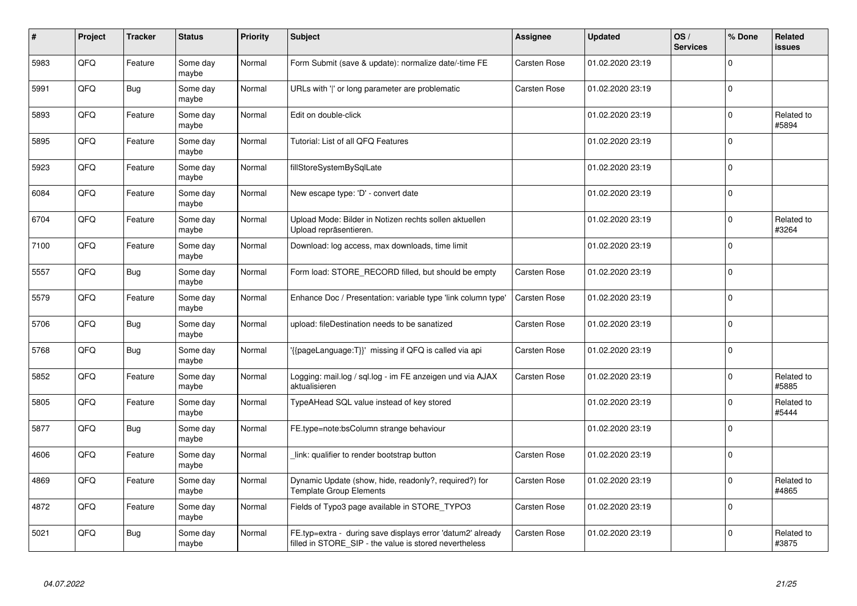| #    | Project | <b>Tracker</b> | <b>Status</b>     | <b>Priority</b> | Subject                                                                                                              | Assignee            | <b>Updated</b>   | OS/<br><b>Services</b> | % Done      | <b>Related</b><br>issues |
|------|---------|----------------|-------------------|-----------------|----------------------------------------------------------------------------------------------------------------------|---------------------|------------------|------------------------|-------------|--------------------------|
| 5983 | QFQ     | Feature        | Some day<br>maybe | Normal          | Form Submit (save & update): normalize date/-time FE                                                                 | <b>Carsten Rose</b> | 01.02.2020 23:19 |                        | $\Omega$    |                          |
| 5991 | QFQ     | <b>Bug</b>     | Some day<br>maybe | Normal          | URLs with ' ' or long parameter are problematic                                                                      | Carsten Rose        | 01.02.2020 23:19 |                        | $\mathbf 0$ |                          |
| 5893 | QFQ     | Feature        | Some day<br>maybe | Normal          | Edit on double-click                                                                                                 |                     | 01.02.2020 23:19 |                        | $\mathbf 0$ | Related to<br>#5894      |
| 5895 | QFQ     | Feature        | Some day<br>maybe | Normal          | Tutorial: List of all QFQ Features                                                                                   |                     | 01.02.2020 23:19 |                        | $\Omega$    |                          |
| 5923 | QFQ     | Feature        | Some day<br>maybe | Normal          | fillStoreSystemBySqlLate                                                                                             |                     | 01.02.2020 23:19 |                        | $\mathbf 0$ |                          |
| 6084 | QFQ     | Feature        | Some day<br>maybe | Normal          | New escape type: 'D' - convert date                                                                                  |                     | 01.02.2020 23:19 |                        | $\Omega$    |                          |
| 6704 | QFQ     | Feature        | Some day<br>maybe | Normal          | Upload Mode: Bilder in Notizen rechts sollen aktuellen<br>Upload repräsentieren.                                     |                     | 01.02.2020 23:19 |                        | $\mathbf 0$ | Related to<br>#3264      |
| 7100 | QFQ     | Feature        | Some day<br>maybe | Normal          | Download: log access, max downloads, time limit                                                                      |                     | 01.02.2020 23:19 |                        | $\Omega$    |                          |
| 5557 | QFQ     | Bug            | Some day<br>maybe | Normal          | Form load: STORE_RECORD filled, but should be empty                                                                  | Carsten Rose        | 01.02.2020 23:19 |                        | $\Omega$    |                          |
| 5579 | QFQ     | Feature        | Some day<br>maybe | Normal          | Enhance Doc / Presentation: variable type 'link column type'                                                         | Carsten Rose        | 01.02.2020 23:19 |                        | $\Omega$    |                          |
| 5706 | QFQ     | Bug            | Some day<br>maybe | Normal          | upload: fileDestination needs to be sanatized                                                                        | Carsten Rose        | 01.02.2020 23:19 |                        | $\mathbf 0$ |                          |
| 5768 | QFQ     | Bug            | Some day<br>maybe | Normal          | '{{pageLanguage:T}}' missing if QFQ is called via api                                                                | Carsten Rose        | 01.02.2020 23:19 |                        | $\mathbf 0$ |                          |
| 5852 | QFQ     | Feature        | Some day<br>maybe | Normal          | Logging: mail.log / sql.log - im FE anzeigen und via AJAX<br>aktualisieren                                           | Carsten Rose        | 01.02.2020 23:19 |                        | $\mathbf 0$ | Related to<br>#5885      |
| 5805 | QFQ     | Feature        | Some day<br>maybe | Normal          | TypeAHead SQL value instead of key stored                                                                            |                     | 01.02.2020 23:19 |                        | $\mathbf 0$ | Related to<br>#5444      |
| 5877 | QFQ     | <b>Bug</b>     | Some day<br>maybe | Normal          | FE.type=note:bsColumn strange behaviour                                                                              |                     | 01.02.2020 23:19 |                        | $\Omega$    |                          |
| 4606 | QFQ     | Feature        | Some day<br>maybe | Normal          | link: qualifier to render bootstrap button                                                                           | Carsten Rose        | 01.02.2020 23:19 |                        | $\Omega$    |                          |
| 4869 | QFQ     | Feature        | Some day<br>maybe | Normal          | Dynamic Update (show, hide, readonly?, required?) for<br><b>Template Group Elements</b>                              | Carsten Rose        | 01.02.2020 23:19 |                        | $\Omega$    | Related to<br>#4865      |
| 4872 | QFQ     | Feature        | Some day<br>maybe | Normal          | Fields of Typo3 page available in STORE_TYPO3                                                                        | Carsten Rose        | 01.02.2020 23:19 |                        | $\mathbf 0$ |                          |
| 5021 | QFQ     | <b>Bug</b>     | Some day<br>maybe | Normal          | FE.typ=extra - during save displays error 'datum2' already<br>filled in STORE_SIP - the value is stored nevertheless | Carsten Rose        | 01.02.2020 23:19 |                        | $\Omega$    | Related to<br>#3875      |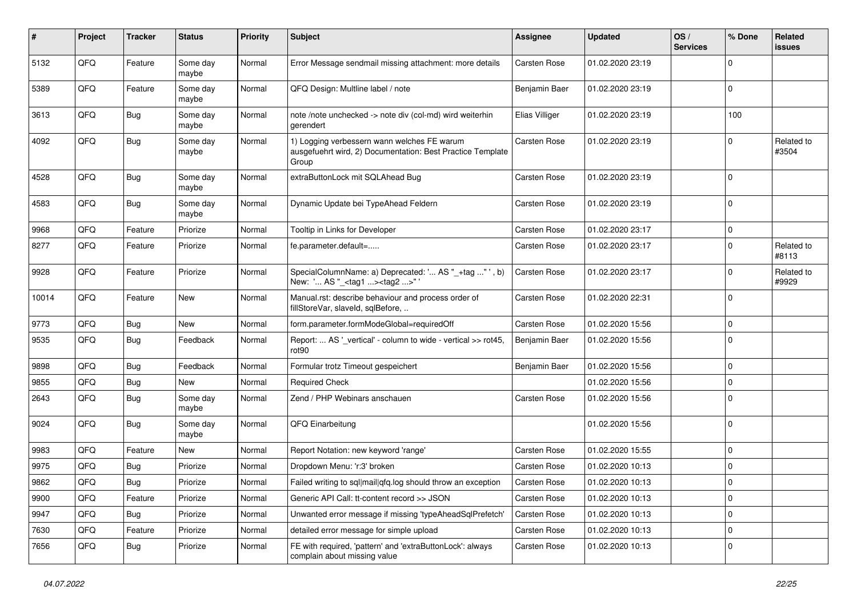| #     | Project | <b>Tracker</b> | <b>Status</b>     | <b>Priority</b> | <b>Subject</b>                                                                                                     | <b>Assignee</b>     | <b>Updated</b>   | OS/<br><b>Services</b> | % Done      | Related<br><b>issues</b> |
|-------|---------|----------------|-------------------|-----------------|--------------------------------------------------------------------------------------------------------------------|---------------------|------------------|------------------------|-------------|--------------------------|
| 5132  | QFQ     | Feature        | Some day<br>maybe | Normal          | Error Message sendmail missing attachment: more details                                                            | Carsten Rose        | 01.02.2020 23:19 |                        | $\Omega$    |                          |
| 5389  | QFQ     | Feature        | Some day<br>maybe | Normal          | QFQ Design: Multline label / note                                                                                  | Benjamin Baer       | 01.02.2020 23:19 |                        | $\mathbf 0$ |                          |
| 3613  | QFQ     | Bug            | Some day<br>maybe | Normal          | note /note unchecked -> note div (col-md) wird weiterhin<br>gerendert                                              | Elias Villiger      | 01.02.2020 23:19 |                        | 100         |                          |
| 4092  | QFQ     | Bug            | Some day<br>maybe | Normal          | 1) Logging verbessern wann welches FE warum<br>ausgefuehrt wird, 2) Documentation: Best Practice Template<br>Group | <b>Carsten Rose</b> | 01.02.2020 23:19 |                        | 0           | Related to<br>#3504      |
| 4528  | QFQ     | Bug            | Some day<br>maybe | Normal          | extraButtonLock mit SQLAhead Bug                                                                                   | Carsten Rose        | 01.02.2020 23:19 |                        | 0           |                          |
| 4583  | QFQ     | <b>Bug</b>     | Some day<br>maybe | Normal          | Dynamic Update bei TypeAhead Feldern                                                                               | Carsten Rose        | 01.02.2020 23:19 |                        | 0           |                          |
| 9968  | QFQ     | Feature        | Priorize          | Normal          | Tooltip in Links for Developer                                                                                     | Carsten Rose        | 01.02.2020 23:17 |                        | $\mathbf 0$ |                          |
| 8277  | QFQ     | Feature        | Priorize          | Normal          | fe.parameter.default=                                                                                              | Carsten Rose        | 01.02.2020 23:17 |                        | $\Omega$    | Related to<br>#8113      |
| 9928  | QFQ     | Feature        | Priorize          | Normal          | SpecialColumnName: a) Deprecated: ' AS "_+tag " ', b)<br>New: ' AS "_ <tag1><tag2>" '</tag2></tag1>                | Carsten Rose        | 01.02.2020 23:17 |                        | $\Omega$    | Related to<br>#9929      |
| 10014 | QFQ     | Feature        | New               | Normal          | Manual.rst: describe behaviour and process order of<br>fillStoreVar, slaveId, sqlBefore,                           | <b>Carsten Rose</b> | 01.02.2020 22:31 |                        | $\Omega$    |                          |
| 9773  | QFQ     | Bug            | New               | Normal          | form.parameter.formModeGlobal=requiredOff                                                                          | <b>Carsten Rose</b> | 01.02.2020 15:56 |                        | 0           |                          |
| 9535  | QFQ     | Bug            | Feedback          | Normal          | Report:  AS '_vertical' - column to wide - vertical >> rot45,<br>rot90                                             | Benjamin Baer       | 01.02.2020 15:56 |                        | $\Omega$    |                          |
| 9898  | QFQ     | Bug            | Feedback          | Normal          | Formular trotz Timeout gespeichert                                                                                 | Benjamin Baer       | 01.02.2020 15:56 |                        | $\mathbf 0$ |                          |
| 9855  | QFQ     | <b>Bug</b>     | New               | Normal          | <b>Required Check</b>                                                                                              |                     | 01.02.2020 15:56 |                        | $\mathbf 0$ |                          |
| 2643  | QFQ     | Bug            | Some day<br>maybe | Normal          | Zend / PHP Webinars anschauen                                                                                      | Carsten Rose        | 01.02.2020 15:56 |                        | 0           |                          |
| 9024  | QFQ     | Bug            | Some day<br>maybe | Normal          | QFQ Einarbeitung                                                                                                   |                     | 01.02.2020 15:56 |                        | $\Omega$    |                          |
| 9983  | QFQ     | Feature        | New               | Normal          | Report Notation: new keyword 'range'                                                                               | <b>Carsten Rose</b> | 01.02.2020 15:55 |                        | $\Omega$    |                          |
| 9975  | QFQ     | Bug            | Priorize          | Normal          | Dropdown Menu: 'r:3' broken                                                                                        | <b>Carsten Rose</b> | 01.02.2020 10:13 |                        | 0           |                          |
| 9862  | QFQ     | Bug            | Priorize          | Normal          | Failed writing to sql mail qfq.log should throw an exception                                                       | <b>Carsten Rose</b> | 01.02.2020 10:13 |                        | $\Omega$    |                          |
| 9900  | QFQ     | Feature        | Priorize          | Normal          | Generic API Call: tt-content record >> JSON                                                                        | Carsten Rose        | 01.02.2020 10:13 |                        | 0           |                          |
| 9947  | QFQ     | <b>Bug</b>     | Priorize          | Normal          | Unwanted error message if missing 'typeAheadSqlPrefetch'                                                           | Carsten Rose        | 01.02.2020 10:13 |                        | 0           |                          |
| 7630  | QFQ     | Feature        | Priorize          | Normal          | detailed error message for simple upload                                                                           | Carsten Rose        | 01.02.2020 10:13 |                        | 0           |                          |
| 7656  | QFQ     | <b>Bug</b>     | Priorize          | Normal          | FE with required, 'pattern' and 'extraButtonLock': always<br>complain about missing value                          | Carsten Rose        | 01.02.2020 10:13 |                        | $\mathbf 0$ |                          |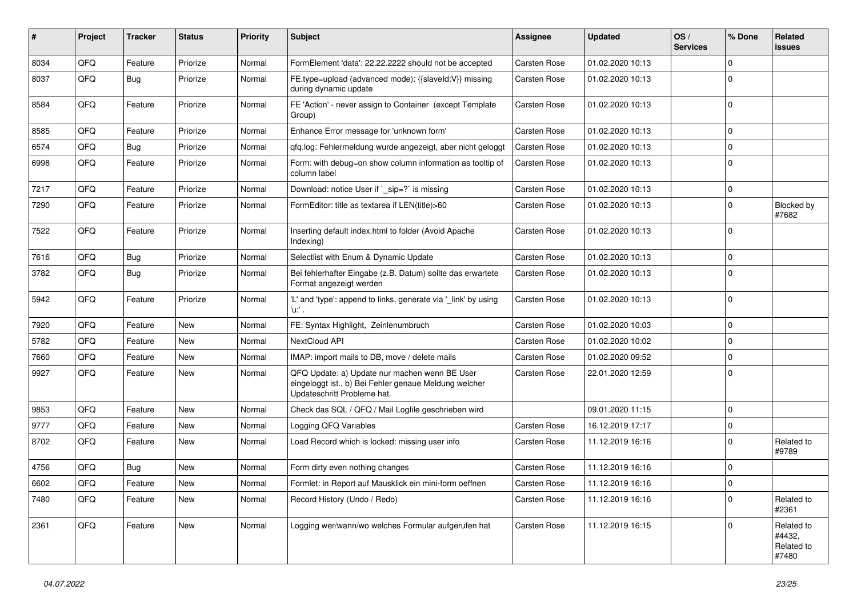| ∦    | Project | <b>Tracker</b> | <b>Status</b> | <b>Priority</b> | Subject                                                                                                                               | <b>Assignee</b>     | <b>Updated</b>   | OS/<br><b>Services</b> | % Done      | Related<br><b>issues</b>                    |
|------|---------|----------------|---------------|-----------------|---------------------------------------------------------------------------------------------------------------------------------------|---------------------|------------------|------------------------|-------------|---------------------------------------------|
| 8034 | QFQ     | Feature        | Priorize      | Normal          | FormElement 'data': 22.22.2222 should not be accepted                                                                                 | <b>Carsten Rose</b> | 01.02.2020 10:13 |                        | $\Omega$    |                                             |
| 8037 | QFQ     | Bug            | Priorize      | Normal          | FE.type=upload (advanced mode): {{slaveId:V}} missing<br>during dynamic update                                                        | Carsten Rose        | 01.02.2020 10:13 |                        | $\mathbf 0$ |                                             |
| 8584 | QFQ     | Feature        | Priorize      | Normal          | FE 'Action' - never assign to Container (except Template<br>Group)                                                                    | Carsten Rose        | 01.02.2020 10:13 |                        | $\Omega$    |                                             |
| 8585 | QFQ     | Feature        | Priorize      | Normal          | Enhance Error message for 'unknown form'                                                                                              | <b>Carsten Rose</b> | 01.02.2020 10:13 |                        | $\Omega$    |                                             |
| 6574 | QFQ     | <b>Bug</b>     | Priorize      | Normal          | qfq.log: Fehlermeldung wurde angezeigt, aber nicht geloggt                                                                            | Carsten Rose        | 01.02.2020 10:13 |                        | $\mathbf 0$ |                                             |
| 6998 | QFQ     | Feature        | Priorize      | Normal          | Form: with debug=on show column information as tooltip of<br>column label                                                             | Carsten Rose        | 01.02.2020 10:13 |                        | $\Omega$    |                                             |
| 7217 | QFQ     | Feature        | Priorize      | Normal          | Download: notice User if `_sip=?` is missing                                                                                          | <b>Carsten Rose</b> | 01.02.2020 10:13 |                        | $\mathbf 0$ |                                             |
| 7290 | QFQ     | Feature        | Priorize      | Normal          | FormEditor: title as textarea if LEN(title)>60                                                                                        | Carsten Rose        | 01.02.2020 10:13 |                        | $\mathbf 0$ | Blocked by<br>#7682                         |
| 7522 | QFQ     | Feature        | Priorize      | Normal          | Inserting default index.html to folder (Avoid Apache<br>Indexing)                                                                     | Carsten Rose        | 01.02.2020 10:13 |                        | $\Omega$    |                                             |
| 7616 | QFQ     | Bug            | Priorize      | Normal          | Selectlist with Enum & Dynamic Update                                                                                                 | <b>Carsten Rose</b> | 01.02.2020 10:13 |                        | $\mathbf 0$ |                                             |
| 3782 | QFQ     | Bug            | Priorize      | Normal          | Bei fehlerhafter Eingabe (z.B. Datum) sollte das erwartete<br>Format angezeigt werden                                                 | Carsten Rose        | 01.02.2020 10:13 |                        | $\mathbf 0$ |                                             |
| 5942 | QFQ     | Feature        | Priorize      | Normal          | 'L' and 'type': append to links, generate via '_link' by using<br>'u.' .                                                              | Carsten Rose        | 01.02.2020 10:13 |                        | 0           |                                             |
| 7920 | QFQ     | Feature        | <b>New</b>    | Normal          | FE: Syntax Highlight, Zeinlenumbruch                                                                                                  | Carsten Rose        | 01.02.2020 10:03 |                        | $\mathbf 0$ |                                             |
| 5782 | QFQ     | Feature        | New           | Normal          | NextCloud API                                                                                                                         | Carsten Rose        | 01.02.2020 10:02 |                        | $\mathbf 0$ |                                             |
| 7660 | QFQ     | Feature        | New           | Normal          | IMAP: import mails to DB, move / delete mails                                                                                         | Carsten Rose        | 01.02.2020 09:52 |                        | $\Omega$    |                                             |
| 9927 | QFQ     | Feature        | <b>New</b>    | Normal          | QFQ Update: a) Update nur machen wenn BE User<br>eingeloggt ist., b) Bei Fehler genaue Meldung welcher<br>Updateschritt Probleme hat. | Carsten Rose        | 22.01.2020 12:59 |                        | $\Omega$    |                                             |
| 9853 | QFQ     | Feature        | New           | Normal          | Check das SQL / QFQ / Mail Logfile geschrieben wird                                                                                   |                     | 09.01.2020 11:15 |                        | $\mathbf 0$ |                                             |
| 9777 | QFQ     | Feature        | New           | Normal          | Logging QFQ Variables                                                                                                                 | Carsten Rose        | 16.12.2019 17:17 |                        | $\Omega$    |                                             |
| 8702 | QFQ     | Feature        | New           | Normal          | Load Record which is locked: missing user info                                                                                        | Carsten Rose        | 11.12.2019 16:16 |                        | $\mathbf 0$ | Related to<br>#9789                         |
| 4756 | QFQ     | Bug            | New           | Normal          | Form dirty even nothing changes                                                                                                       | Carsten Rose        | 11.12.2019 16:16 |                        | $\mathbf 0$ |                                             |
| 6602 | QFG     | Feature        | New           | Normal          | Formlet: in Report auf Mausklick ein mini-form oeffnen                                                                                | Carsten Rose        | 11.12.2019 16:16 |                        | 0           |                                             |
| 7480 | QFQ     | Feature        | New           | Normal          | Record History (Undo / Redo)                                                                                                          | Carsten Rose        | 11.12.2019 16:16 |                        | 0           | Related to<br>#2361                         |
| 2361 | QFQ     | Feature        | New           | Normal          | Logging wer/wann/wo welches Formular aufgerufen hat                                                                                   | <b>Carsten Rose</b> | 11.12.2019 16:15 |                        | $\mathbf 0$ | Related to<br>#4432,<br>Related to<br>#7480 |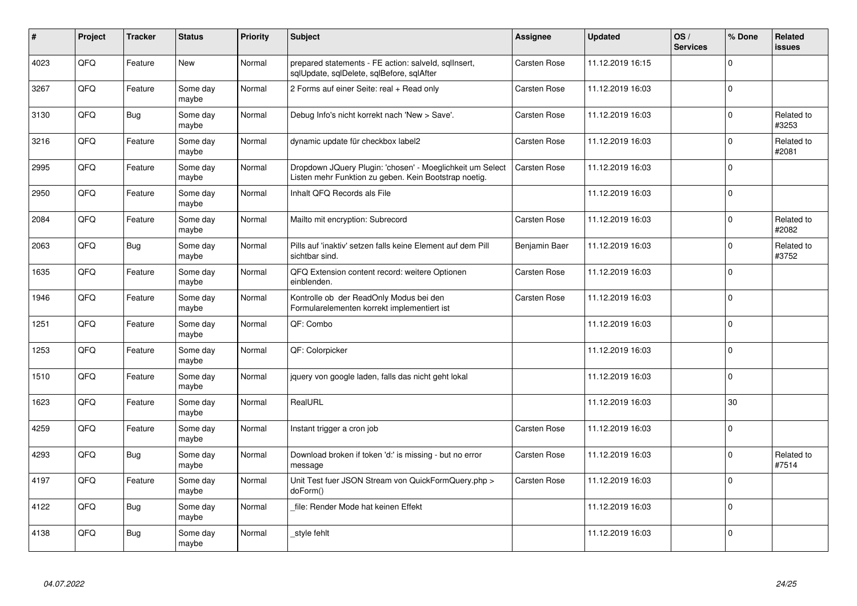| $\sharp$ | Project | <b>Tracker</b> | <b>Status</b>     | <b>Priority</b> | <b>Subject</b>                                                                                                     | Assignee            | <b>Updated</b>   | OS/<br><b>Services</b> | % Done       | Related<br><b>issues</b> |
|----------|---------|----------------|-------------------|-----------------|--------------------------------------------------------------------------------------------------------------------|---------------------|------------------|------------------------|--------------|--------------------------|
| 4023     | QFQ     | Feature        | <b>New</b>        | Normal          | prepared statements - FE action: salveld, sqlInsert,<br>sqlUpdate, sqlDelete, sqlBefore, sqlAfter                  | <b>Carsten Rose</b> | 11.12.2019 16:15 |                        | $\Omega$     |                          |
| 3267     | QFQ     | Feature        | Some day<br>maybe | Normal          | 2 Forms auf einer Seite: real + Read only                                                                          | Carsten Rose        | 11.12.2019 16:03 |                        | 0            |                          |
| 3130     | QFQ     | Bug            | Some day<br>maybe | Normal          | Debug Info's nicht korrekt nach 'New > Save'.                                                                      | Carsten Rose        | 11.12.2019 16:03 |                        | $\Omega$     | Related to<br>#3253      |
| 3216     | QFQ     | Feature        | Some day<br>maybe | Normal          | dynamic update für checkbox label2                                                                                 | Carsten Rose        | 11.12.2019 16:03 |                        | $\Omega$     | Related to<br>#2081      |
| 2995     | QFQ     | Feature        | Some day<br>maybe | Normal          | Dropdown JQuery Plugin: 'chosen' - Moeglichkeit um Select<br>Listen mehr Funktion zu geben. Kein Bootstrap noetig. | <b>Carsten Rose</b> | 11.12.2019 16:03 |                        | $\mathbf{0}$ |                          |
| 2950     | QFQ     | Feature        | Some day<br>maybe | Normal          | Inhalt QFQ Records als File                                                                                        |                     | 11.12.2019 16:03 |                        | $\Omega$     |                          |
| 2084     | QFQ     | Feature        | Some day<br>maybe | Normal          | Mailto mit encryption: Subrecord                                                                                   | <b>Carsten Rose</b> | 11.12.2019 16:03 |                        | $\mathbf 0$  | Related to<br>#2082      |
| 2063     | QFQ     | Bug            | Some day<br>maybe | Normal          | Pills auf 'inaktiv' setzen falls keine Element auf dem Pill<br>sichtbar sind.                                      | Benjamin Baer       | 11.12.2019 16:03 |                        | $\mathbf 0$  | Related to<br>#3752      |
| 1635     | QFQ     | Feature        | Some day<br>maybe | Normal          | QFQ Extension content record: weitere Optionen<br>einblenden.                                                      | Carsten Rose        | 11.12.2019 16:03 |                        | $\Omega$     |                          |
| 1946     | QFQ     | Feature        | Some day<br>maybe | Normal          | Kontrolle ob der ReadOnly Modus bei den<br>Formularelementen korrekt implementiert ist                             | Carsten Rose        | 11.12.2019 16:03 |                        | $\mathbf 0$  |                          |
| 1251     | QFQ     | Feature        | Some day<br>maybe | Normal          | QF: Combo                                                                                                          |                     | 11.12.2019 16:03 |                        | $\mathbf 0$  |                          |
| 1253     | QFQ     | Feature        | Some day<br>maybe | Normal          | QF: Colorpicker                                                                                                    |                     | 11.12.2019 16:03 |                        | $\Omega$     |                          |
| 1510     | QFQ     | Feature        | Some day<br>maybe | Normal          | jquery von google laden, falls das nicht geht lokal                                                                |                     | 11.12.2019 16:03 |                        | $\mathbf{0}$ |                          |
| 1623     | QFQ     | Feature        | Some day<br>maybe | Normal          | RealURL                                                                                                            |                     | 11.12.2019 16:03 |                        | 30           |                          |
| 4259     | QFQ     | Feature        | Some day<br>maybe | Normal          | Instant trigger a cron job                                                                                         | Carsten Rose        | 11.12.2019 16:03 |                        | $\Omega$     |                          |
| 4293     | QFQ     | Bug            | Some day<br>maybe | Normal          | Download broken if token 'd:' is missing - but no error<br>message                                                 | <b>Carsten Rose</b> | 11.12.2019 16:03 |                        | $\Omega$     | Related to<br>#7514      |
| 4197     | QFQ     | Feature        | Some day<br>maybe | Normal          | Unit Test fuer JSON Stream von QuickFormQuery.php ><br>doForm()                                                    | Carsten Rose        | 11.12.2019 16:03 |                        | $\Omega$     |                          |
| 4122     | QFQ     | Bug            | Some day<br>maybe | Normal          | file: Render Mode hat keinen Effekt                                                                                |                     | 11.12.2019 16:03 |                        | $\Omega$     |                          |
| 4138     | QFQ     | Bug            | Some day<br>maybe | Normal          | style fehlt                                                                                                        |                     | 11.12.2019 16:03 |                        | $\Omega$     |                          |